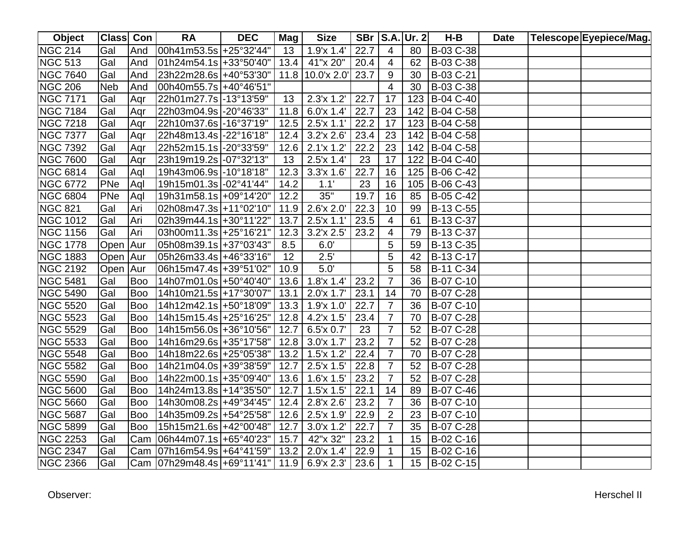| Object          | Class Con  |            | <b>RA</b>                                          | <b>DEC</b> | Mag             | <b>Size</b>         |      |                | <b>SBr   S.A. Ur. 2</b> | H-B                        | <b>Date</b> | Telescope Eyepiece/Mag. |
|-----------------|------------|------------|----------------------------------------------------|------------|-----------------|---------------------|------|----------------|-------------------------|----------------------------|-------------|-------------------------|
| <b>NGC 214</b>  | Gal        | And        | $ 00h41m53.5s  + 25°32'44"$                        |            | 13 <sup>7</sup> | 1.9x 1.4'           | 22.7 | 4              | 80                      | B-03 C-38                  |             |                         |
| <b>NGC 513</b>  | Gal        | And        | $ 01h24m54.1s  + 33°50'40" $                       |            | 13.4            | 41"x 20"            | 20.4 | $\overline{4}$ | 62                      | B-03 C-38                  |             |                         |
| <b>NGC 7640</b> | Gal        | And        | 23h22m28.6s +40°53'30"                             |            |                 | $11.8$ 10.0'x 2.0'  | 23.7 | 9              | 30                      | B-03 C-21                  |             |                         |
| <b>NGC 206</b>  | <b>Neb</b> | And        | 00h40m55.7s +40°46'51"                             |            |                 |                     |      | 4              | 30                      | B-03 C-38                  |             |                         |
| <b>NGC 7171</b> | Gal        | Aqr        | 22h01m27.7s -13°13'59"                             |            | 13              | $2.3'x$ 1.2'        | 22.7 | 17             |                         | $\overline{123}$ B-04 C-40 |             |                         |
| <b>NGC 7184</b> | Gal        | Aqr        | 22h03m04.9s -20°46'33"                             |            |                 | $11.8$ 6.0'x 1.4'   | 22.7 | 23             |                         | 142 B-04 C-58              |             |                         |
| <b>NGC 7218</b> | Gal        | Agr        | 22h10m37.6s -16°37'19"                             |            |                 | $12.5$   2.5'x 1.1' | 22.2 | 17             |                         | 123 B-04 C-58              |             |                         |
| <b>NGC 7377</b> | Gal        | Agr        | 22h48m13.4s -22°16'18"                             |            | 12.4            | $3.2'$ x $2.6'$     | 23.4 | 23             |                         | 142 B-04 C-58              |             |                         |
| <b>NGC 7392</b> | Gal        | Aqr        | 22h52m15.1s -20°33'59"                             |            |                 | $12.6$   2.1'x 1.2' | 22.2 | 23             |                         | 142 B-04 C-58              |             |                         |
| <b>NGC 7600</b> | Gal        | Aqr        | 23h19m19.2s -07°32'13"                             |            | 13              | 2.5'x 1.4'          | 23   | 17             |                         | 122 B-04 C-40              |             |                         |
| <b>NGC 6814</b> | Gal        | Aql        | 19h43m06.9s -10°18'18"                             |            | 12.3            | $3.3'x$ 1.6'        | 22.7 | 16             |                         | 125 B-06 C-42              |             |                         |
| <b>NGC 6772</b> | PNe        | Aql        | 19h15m01.3s -02°41'44"                             |            | 14.2            | 1.1'                | 23   | 16             | 105                     | B-06 C-43                  |             |                         |
| <b>NGC 6804</b> | PNe        | Aql        | 19h31m58.1s +09°14'20"                             |            | 12.2            | 35"                 | 19.7 | 16             | 85                      | B-05 C-42                  |             |                         |
| <b>NGC 821</b>  | Gal        | Ari        | 02h08m47.3s +11°02'10"                             |            | 11.9            | 2.6'x 2.0'          | 22.3 | 10             | 99                      | B-13 C-55                  |             |                         |
| <b>NGC 1012</b> | Gal        | Ari        | 02h39m44.1s +30°11'22"                             |            | 13.7            | 2.5'x 1.1'          | 23.5 | 4              | 61                      | B-13 C-37                  |             |                         |
| <b>NGC 1156</b> | Gal        | Ari        | 03h00m11.3s +25°16'21"                             |            | 12.3            | 3.2'x 2.5'          | 23.2 | 4              | 79                      | B-13 C-37                  |             |                         |
| <b>NGC 1778</b> | Open Aur   |            | 05h08m39.1s +37°03'43"                             |            | 8.5             | 6.0'                |      | 5              | 59                      | B-13 C-35                  |             |                         |
| <b>NGC 1883</b> | Open Aur   |            | 05h26m33.4s +46°33'16"                             |            | 12              | $2.5^{\prime}$      |      | 5              | 42                      | B-13 C-17                  |             |                         |
| <b>NGC 2192</b> | Open Aur   |            | 06h15m47.4s +39°51'02"                             |            | 10.9            | 5.0'                |      | 5              | 58                      | B-11 C-34                  |             |                         |
| <b>NGC 5481</b> | Gal        | Boo        | 14h07m01.0s +50°40'40"                             |            |                 | $13.6$   1.8'x 1.4' | 23.2 | $\overline{7}$ | 36                      | B-07 C-10                  |             |                         |
| <b>NGC 5490</b> | Gal        | Boo        | 14h10m21.5s +17°30'07"                             |            | 13.1            | $2.0'x$ 1.7'        | 23.1 | 14             | 70                      | B-07 C-28                  |             |                         |
| <b>NGC 5520</b> | Gal        | <b>Boo</b> | 14h12m42.1s +50°18'09"                             |            |                 | $13.3$   1.9'x 1.0' | 22.7 | $\overline{7}$ | 36                      | B-07 C-10                  |             |                         |
| <b>NGC 5523</b> | Gal        | Boo        | 14h15m15.4s +25°16'25"                             |            |                 | $12.8$ 4.2'x 1.5'   | 23.4 | $\overline{7}$ | 70                      | B-07 C-28                  |             |                         |
| <b>NGC 5529</b> | Gal        | <b>Boo</b> | 14h15m56.0s +36°10'56"                             |            | 12.7            | 6.5x 0.7'           | 23   | $\overline{7}$ | 52                      | B-07 C-28                  |             |                         |
| <b>NGC 5533</b> | Gal        | <b>Boo</b> | 14h16m29.6s + 35°17'58"                            |            |                 | $12.8$ 3.0'x 1.7'   | 23.2 | $\overline{7}$ | 52                      | B-07 C-28                  |             |                         |
| <b>NGC 5548</b> | Gal        | <b>Boo</b> | 14h18m22.6s +25°05'38"                             |            |                 | $13.2$   1.5'x 1.2' | 22.4 | $\overline{7}$ | 70                      | B-07 C-28                  |             |                         |
| <b>NGC 5582</b> | Gal        | <b>Boo</b> | 14h21m04.0s +39°38'59"                             |            | 12.7            | 2.5'x 1.5'          | 22.8 | $\overline{7}$ | 52                      | B-07 C-28                  |             |                         |
| <b>NGC 5590</b> | Gal        | <b>Boo</b> | 14h22m00.1s + 35° 09' 40"                          |            |                 | $13.6$   1.6'x 1.5' | 23.2 | $\overline{7}$ | 52                      | B-07 C-28                  |             |                         |
| <b>NGC 5600</b> | Gal        | <b>Boo</b> | 14h24m13.8s +14°35'50"                             |            | 12.7            | $1.5'$ x $1.5'$     | 22.1 | 14             | 89                      | B-07 C-46                  |             |                         |
| <b>NGC 5660</b> | Gal        | Boo        | 14h30m08.2s +49°34'45"                             |            | 12.4            | $2.8'$ x $2.6'$     | 23.2 | $\overline{7}$ | 36                      | B-07 C-10                  |             |                         |
| <b>NGC 5687</b> | Gal        | <b>Boo</b> | 14h35m09.2s +54°25'58"                             |            |                 | $12.6$   2.5'x 1.9' | 22.9 | $\overline{2}$ | 23                      | B-07 C-10                  |             |                         |
| <b>NGC 5899</b> | Gal        | <b>Boo</b> | 15h15m21.6s +42°00'48"                             |            | 12.7            | 3.0x1.2'            | 22.7 | 7              | 35                      | B-07 C-28                  |             |                         |
| <b>NGC 2253</b> | Gal        | Cam        | 06h44m07.1s +65°40'23"                             |            | 15.7            | 42"x 32"            | 23.2 |                | 15                      | B-02 C-16                  |             |                         |
| <b>NGC 2347</b> | Gal        | Cam        | 07h16m54.9s +64°41'59"                             |            |                 | $13.2$   2.0'x 1.4' | 22.9 | 1              | 15                      | B-02 C-16                  |             |                         |
| <b>NGC 2366</b> | Gal        |            | Cam   07h29m48.4s   +69°11'41"   11.9   6.9'x 2.3' |            |                 |                     | 23.6 | 1              |                         | 15 B-02 C-15               |             |                         |

Herschel II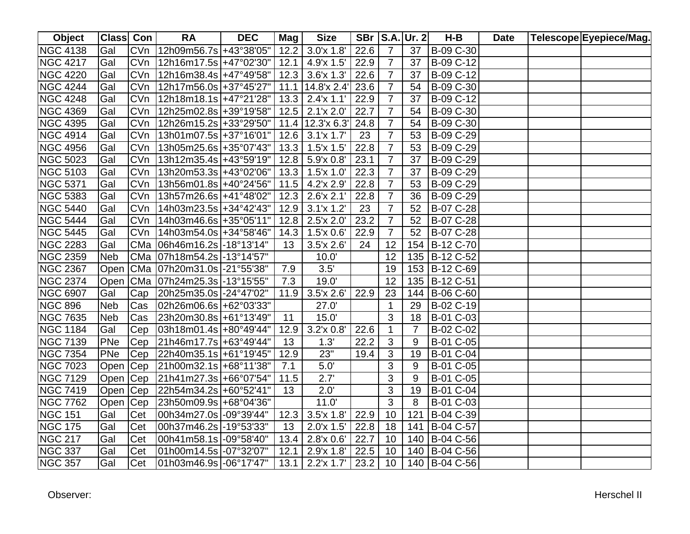| <b>Object</b>   | Class Con  |            | <b>RA</b>                              | <b>DEC</b> | Mag  | <b>Size</b>         |      |                | <b>SBr   S.A. Ur. 2</b> | H-B           | <b>Date</b> | Telescope Eyepiece/Mag. |
|-----------------|------------|------------|----------------------------------------|------------|------|---------------------|------|----------------|-------------------------|---------------|-------------|-------------------------|
| <b>NGC 4138</b> | Gal        |            | CVn  12h09m56.7s +43°38'05"            |            |      | $12.2$ 3.0'x 1.8'   | 22.6 | $\overline{7}$ | 37                      | B-09 C-30     |             |                         |
| <b>NGC 4217</b> | Gal        |            | CVn 12h16m17.5s +47°02'30"             |            |      | $12.1$ 4.9'x 1.5'   | 22.9 | $\overline{7}$ | 37                      | B-09 C-12     |             |                         |
| <b>NGC 4220</b> | Gal        | <b>CVn</b> | $ 12h16m38.4s  + 47°49'58"$            |            |      | $12.3$ 3.6'x 1.3'   | 22.6 | $\overline{7}$ | 37                      | B-09 C-12     |             |                         |
| <b>NGC 4244</b> | Gal        | <b>CVn</b> | 12h17m56.0s + 37° 45' 27"              |            | 11.1 | 14.8'x 2.4'         | 23.6 | $\overline{7}$ | 54                      | B-09 C-30     |             |                         |
| <b>NGC 4248</b> | Gal        | CVn        | $ 12h18m18.1s  + 47°21'28"$            |            |      | $13.3$   2.4'x 1.1' | 22.9 | $\overline{7}$ | 37                      | B-09 C-12     |             |                         |
| <b>NGC 4369</b> | Gal        |            | CVn   12h25m02.8s   + 39° 19' 58"      |            |      | $12.5$ 2.1'x 2.0'   | 22.7 | $\overline{7}$ | 54                      | B-09 C-30     |             |                         |
| <b>NGC 4395</b> | Gal        |            | CVn   12h26m15.2s   + 33° 29' 50"      |            | 11.4 | 12.3'x 6.3'         | 24.8 | $\overline{7}$ | 54                      | B-09 C-30     |             |                         |
| <b>NGC 4914</b> | Gal        | <b>CVn</b> | $ 13h01m07.5s  + 37°16'01"$            |            |      | $12.6$ 3.1'x 1.7'   | 23   | $\overline{7}$ | 53                      | B-09 C-29     |             |                         |
| <b>NGC 4956</b> | Gal        | <b>CVn</b> | $ 13h05m25.6s  + 35°07'43"$            |            |      | $13.3$ 1.5'x 1.5'   | 22.8 | $\overline{7}$ | 53                      | B-09 C-29     |             |                         |
| <b>NGC 5023</b> | Gal        | <b>CVn</b> | 13h12m35.4s +43°59'19"                 |            |      | $12.8$ 5.9'x 0.8'   | 23.1 | $\overline{7}$ | 37                      | B-09 C-29     |             |                         |
| <b>NGC 5103</b> | Gal        | <b>CVn</b> | $13h20m53.3s$ +43°02'06"               |            | 13.3 | 1.5x11.0'           | 22.3 | $\overline{7}$ | 37                      | B-09 C-29     |             |                         |
| <b>NGC 5371</b> | Gal        | <b>CVn</b> | 13h56m01.8s +40°24'56"                 |            | 11.5 | 4.2'x 2.9'          | 22.8 | $\overline{7}$ | 53                      | B-09 C-29     |             |                         |
| <b>NGC 5383</b> | Gal        | <b>CVn</b> | 13h57m26.6s +41°48'02"                 |            | 12.3 | 2.6'x 2.1'          | 22.8 | $\overline{7}$ | 36                      | B-09 C-29     |             |                         |
| <b>NGC 5440</b> | Gal        | <b>CVn</b> | $14h03m23.5s$ +34°42'43"               |            | 12.9 | $3.1'x$ 1.2'        | 23   | $\overline{7}$ | 52                      | B-07 C-28     |             |                         |
| <b>NGC 5444</b> | Gal        | <b>CVn</b> | 14h03m46.6s + 35° 05' 11"              |            | 12.8 | $2.5'$ x $2.0'$     | 23.2 | $\overline{7}$ | 52                      | B-07 C-28     |             |                         |
| <b>NGC 5445</b> | Gal        | <b>CVn</b> | $14h03m54.0s$ + 34° 58' 46"            |            | 14.3 | $1.5'$ x $0.6'$     | 22.9 | $\overline{7}$ | 52                      | B-07 C-28     |             |                         |
| <b>NGC 2283</b> | Gal        |            | CMa 06h46m16.2s -18°13'14"             |            | 13   | 3.5'x 2.6'          | 24   | 12             | 154                     | B-12 C-70     |             |                         |
| <b>NGC 2359</b> | <b>Neb</b> |            | CMa 07h18m54.2s -13°14'57"             |            |      | 10.0'               |      | 12             |                         | 135 B-12 C-52 |             |                         |
| <b>NGC 2367</b> | Open       |            | CMa 07h20m31.0s -21°55'38"             |            | 7.9  | 3.5'                |      | 19             |                         | 153 B-12 C-69 |             |                         |
| <b>NGC 2374</b> |            |            | Open   CMa   07h24m25.3s   - 13°15'55" |            | 7.3  | 19.0'               |      | 12             |                         | 135 B-12 C-51 |             |                         |
| <b>NGC 6907</b> | Gal        | Cap        | 20h25m35.0s -24°47'02"                 |            | 11.9 | $3.5'$ x 2.6'       | 22.9 | 23             |                         | 144 B-06 C-60 |             |                         |
| <b>NGC 896</b>  | <b>Neb</b> |            | Cas 02h26m06.6s + 62° 03' 33"          |            |      | 27.0'               |      | $\mathbf 1$    | 29                      | B-02 C-19     |             |                         |
| <b>NGC 7635</b> | <b>Neb</b> | Cas        | 23h20m30.8s + 61°13'49"                |            | 11   | 15.0'               |      | $\mathbf{3}$   | 18                      | B-01 C-03     |             |                         |
| <b>NGC 1184</b> | Gal        | Cep        | $ 03h18m01.4s  + 80°49'44"$            |            | 12.9 | $3.2'$ x $0.8'$     | 22.6 | $\mathbf{1}$   | $\overline{7}$          | B-02 C-02     |             |                         |
| <b>NGC 7139</b> | PNe        | Cep        | 21h46m17.7s +63°49'44"                 |            | 13   | 1.3'                | 22.2 | 3              | 9                       | B-01 C-05     |             |                         |
| <b>NGC 7354</b> | PNe        | Cep        | 22h40m35.1s +61°19'45"                 |            | 12.9 | 23"                 | 19.4 | 3              | 19                      | B-01 C-04     |             |                         |
| <b>NGC 7023</b> | Open Cep   |            | 21h00m32.1s +68°11'38"                 |            | 7.1  | 5.0'                |      | 3              | 9                       | B-01 C-05     |             |                         |
| <b>NGC 7129</b> | Open Cep   |            | 21h41m27.3s +66°07'54"                 |            | 11.5 | 2.7'                |      | 3              | 9                       | B-01 C-05     |             |                         |
| <b>NGC 7419</b> | Open Cep   |            | 22h54m34.2s +60°52'41"                 |            | 13   | 2.0'                |      | 3              | 19                      | B-01 C-04     |             |                         |
| <b>NGC 7762</b> | Open Cep   |            | 23h50m09.9s +68°04'36"                 |            |      | 11.0'               |      | 3              | 8                       | B-01 C-03     |             |                         |
| <b>NGC 151</b>  | Gal        | Cet        | 00h34m27.0s -09°39'44"                 |            | 12.3 | $3.5'$ x 1.8'       | 22.9 | 10             | 121                     | B-04 C-39     |             |                         |
| <b>NGC 175</b>  | Gal        | Cet        | 00h37m46.2s -19°53'33"                 |            | 13   | $2.0'x$ 1.5'        | 22.8 | 18             | 141                     | B-04 C-57     |             |                         |
| <b>NGC 217</b>  | Gal        | Cet        | 00h41m58.1s -09°58'40"                 |            | 13.4 | $2.8$ 'x $0.6'$     | 22.7 | 10             | 140                     | B-04 C-56     |             |                         |
| <b>NGC 337</b>  | Gal        | Cet        | 01h00m14.5s -07°32'07"                 |            | 12.1 | 2.9'x 1.8'          | 22.5 | 10             | 140                     | B-04 C-56     |             |                         |
| <b>NGC 357</b>  | Gal        | Cet        | 01h03m46.9s -06°17'47"                 |            | 13.1 | $2.2'x$ 1.7'        | 23.2 | 10             |                         | 140 B-04 C-56 |             |                         |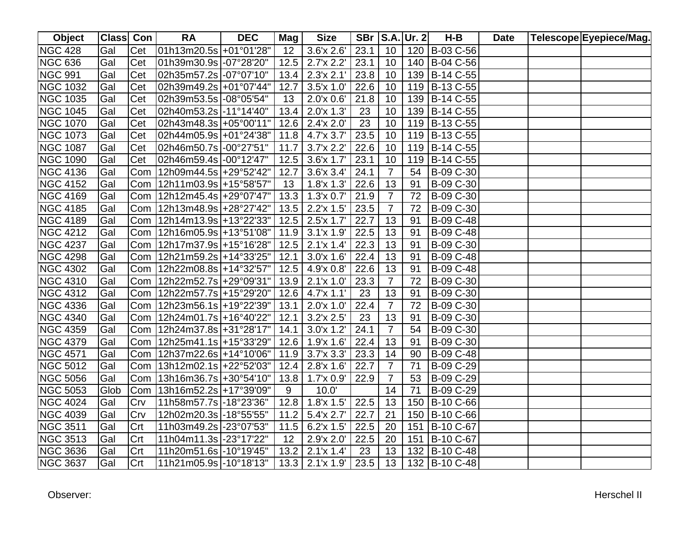| Object          | Class Con |     | <b>RA</b>                                | <b>DEC</b> | Mag  | <b>Size</b>                      |      |                | <b>SBr   S.A. Ur. 2</b> | $H-B$         | <b>Date</b> | Telescope Eyepiece/Mag. |
|-----------------|-----------|-----|------------------------------------------|------------|------|----------------------------------|------|----------------|-------------------------|---------------|-------------|-------------------------|
| <b>NGC 428</b>  | Gal       | Cet | 01h13m20.5s +01°01'28"                   |            | 12   | $3.6'$ x $2.6'$                  | 23.1 | 10             |                         | 120 B-03 C-56 |             |                         |
| <b>NGC 636</b>  | Gal       | Cet | 01h39m30.9s -07°28'20"                   |            | 12.5 | $2.7'$ x $2.2'$                  | 23.1 | 10             |                         | 140 B-04 C-56 |             |                         |
| <b>NGC 991</b>  | Gal       | Cet | 02h35m57.2s -07°07'10"                   |            | 13.4 | 2.3'x 2.1'                       | 23.8 | 10             |                         | 139 B-14 C-55 |             |                         |
| <b>NGC 1032</b> | Gal       | Cet | 02h39m49.2s +01°07'44"                   |            | 12.7 | 3.5'x 1.0'                       | 22.6 | 10             |                         | 119 B-13 C-55 |             |                         |
| <b>NGC 1035</b> | Gal       | Cet | 02h39m53.5s -08°05'54"                   |            | 13   | $2.0^{\prime}$ x 0.6 $^{\prime}$ | 21.8 | 10             |                         | 139 B-14 C-55 |             |                         |
| <b>NGC 1045</b> | Gal       | Cet | 02h40m53.2s -11°14'40"                   |            | 13.4 | 2.0'x 1.3'                       | 23   | 10             |                         | 139 B-14 C-55 |             |                         |
| <b>NGC 1070</b> | Gal       | Cet | 02h43m48.3s +05°00'11"                   |            |      | $12.6$ 2.4'x 2.0'                | 23   | 10             |                         | 119 B-13 C-55 |             |                         |
| <b>NGC 1073</b> | Gal       | Cet | 02h44m05.9s +01°24'38"                   |            |      | 11.8 $4.7x$ 3.7                  | 23.5 | 10             |                         | 119 B-13 C-55 |             |                         |
| <b>NGC 1087</b> | Gal       | Cet | 02h46m50.7s -00°27'51"                   |            | 11.7 | 3.7x 2.2'                        | 22.6 | 10             |                         | 119 B-14 C-55 |             |                         |
| <b>NGC 1090</b> | Gal       | Cet | 02h46m59.4s -00°12'47"                   |            |      | $12.5$ 3.6'x 1.7'                | 23.1 | 10             |                         | 119 B-14 C-55 |             |                         |
| <b>NGC 4136</b> | Gal       | Com | 12h09m44.5s +29°52'42"                   |            | 12.7 | 3.6x3.4'                         | 24.1 | $\overline{7}$ | 54                      | B-09 C-30     |             |                         |
| <b>NGC 4152</b> | Gal       | Com | 12h11m03.9s +15°58'57"                   |            | 13   | 1.8'x 1.3'                       | 22.6 | 13             | 91                      | B-09 C-30     |             |                         |
| <b>NGC 4169</b> | Gal       | Com | 12h12m45.4s + 29° 07' 47"                |            | 13.3 | 1.3x 0.7'                        | 21.9 | $\overline{7}$ | 72                      | B-09 C-30     |             |                         |
| <b>NGC 4185</b> | Gal       | Com | 12h13m48.9s +28°27'42"                   |            | 13.5 | 2.2'x 1.5'                       | 23.5 | $\overline{7}$ | 72                      | B-09 C-30     |             |                         |
| <b>NGC 4189</b> | Gal       | Com | 12h14m13.9s +13°22′33″                   |            | 12.5 | 2.5'x 1.7'                       | 22.7 | 13             | 91                      | B-09 C-48     |             |                         |
| <b>NGC 4212</b> | Gal       | Com | 12h16m05.9s +13°51'08"                   |            | 11.9 | 3.1'x 1.9'                       | 22.5 | 13             | 91                      | B-09 C-48     |             |                         |
| <b>NGC 4237</b> | Gal       | Com | 12h17m37.9s +15°16'28"                   |            | 12.5 | $2.1'$ x 1.4'                    | 22.3 | 13             | 91                      | B-09 C-30     |             |                         |
| <b>NGC 4298</b> | Gal       | Com | 12h21m59.2s +14°33'25"                   |            | 12.1 | 3.0x 1.6'                        | 22.4 | 13             | 91                      | B-09 C-48     |             |                         |
| <b>NGC 4302</b> | Gal       | Com | 12h22m08.8s +14°32'57"                   |            |      | $12.5$ 4.9'x 0.8'                | 22.6 | 13             | 91                      | B-09 C-48     |             |                         |
| <b>NGC 4310</b> | Gal       | Com | 12h22m52.7s +29°09'31"                   |            | 13.9 | $2.1'$ x 1.0'                    | 23.3 | $\overline{7}$ | 72                      | B-09 C-30     |             |                         |
| <b>NGC 4312</b> | Gal       | Com | 12h22m57.7s + 15°29'20"                  |            |      | $12.6$ 4.7'x 1.1'                | 23   | 13             | 91                      | B-09 C-30     |             |                         |
| <b>NGC 4336</b> | Gal       |     | Com   12h23m56.1s   + 19° 22' 39"   13.1 |            |      | $2.0^{\prime}$ x 1.0 $^{\prime}$ | 22.4 | $\overline{7}$ | 72                      | B-09 C-30     |             |                         |
| <b>NGC 4340</b> | Gal       |     | Com   12h24m01.7s   +16°40'22"           |            | 12.1 | 3.2'x 2.5'                       | 23   | 13             | 91                      | B-09 C-30     |             |                         |
| <b>NGC 4359</b> | Gal       |     | Com   12h24m37.8s   + 31° 28' 17"        |            | 14.1 | $3.0'x$ 1.2'                     | 24.1 | $\overline{7}$ | 54                      | B-09 C-30     |             |                         |
| <b>NGC 4379</b> | Gal       |     | Com   12h25m41.1s   + 15°33'29"          |            |      | $12.6$   1.9'x 1.6'              | 22.4 | 13             | 91                      | B-09 C-30     |             |                         |
| <b>NGC 4571</b> | Gal       |     | Com   12h37m22.6s   +14°10'06"           |            |      | $11.9$ 3.7'x 3.3'                | 23.3 | 14             | 90                      | B-09 C-48     |             |                         |
| <b>NGC 5012</b> | Gal       | Com | 13h12m02.1s +22°52'03"                   |            | 12.4 | 2.8'x 1.6'                       | 22.7 | $\overline{7}$ | 71                      | B-09 C-29     |             |                         |
| <b>NGC 5056</b> | Gal       | Com | 13h16m36.7s + 30°54'10"                  |            | 13.8 | 1.7x 0.9'                        | 22.9 | $\overline{7}$ | 53                      | B-09 C-29     |             |                         |
| <b>NGC 5053</b> | Glob      | Com | 13h16m52.2s +17°39'09"                   |            | 9    | 10.0'                            |      | 14             | 71                      | B-09 C-29     |             |                         |
| <b>NGC 4024</b> | Gal       | Crv | 11h58m57.7s -18°23'36"                   |            |      | $12.8$   1.8'x 1.5'              | 22.5 | 13             | 150                     | B-10 C-66     |             |                         |
| <b>NGC 4039</b> | Gal       | Crv | 12h02m20.3s  -18°55'55"                  |            | 11.2 | 5.4'x 2.7'                       | 22.7 | 21             | 150                     | B-10 C-66     |             |                         |
| <b>NGC 3511</b> | Gal       | Crt | 11h03m49.2s -23°07'53"                   |            | 11.5 | 6.2'x 1.5'                       | 22.5 | 20             | 151                     | B-10 C-67     |             |                         |
| <b>NGC 3513</b> | Gal       | Crt | 11h04m11.3s -23°17'22"                   |            | 12   | 2.9'x 2.0'                       | 22.5 | 20             | 151                     | B-10 C-67     |             |                         |
| <b>NGC 3636</b> | Gal       | Crt | 11h20m51.6s -10°19'45"                   |            | 13.2 | 2.1'x 1.4'                       | 23   | 13             |                         | 132 B-10 C-48 |             |                         |
| <b>NGC 3637</b> | Gal       | Crt | 11h21m05.9s -10°18'13"                   |            |      | $13.3$ 2.1'x 1.9'                | 23.5 | 13             |                         | 132 B-10 C-48 |             |                         |

Herschel II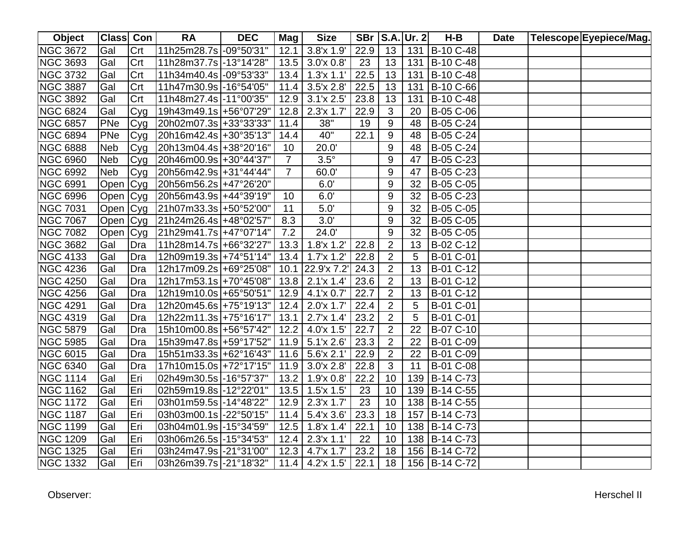| Object          | Class Con  |     | <b>RA</b>                 | <b>DEC</b> | Mag             | <b>Size</b>         | <b>SBr</b> |                | $ S.A. $ Ur. 2  | $H-B$         | <b>Date</b> | Telescope Eyepiece/Mag. |
|-----------------|------------|-----|---------------------------|------------|-----------------|---------------------|------------|----------------|-----------------|---------------|-------------|-------------------------|
| <b>NGC 3672</b> | Gal        | Crt | 11h25m28.7s -09°50'31"    |            | 12.1            | 3.8'x 1.9'          | 22.9       | 13             |                 | 131 B-10 C-48 |             |                         |
| <b>NGC 3693</b> | Gal        | Crt | 11h28m37.7s -13°14'28"    |            |                 | $13.5$ 3.0'x 0.8'   | 23         | 13             | 131             | B-10 C-48     |             |                         |
| <b>NGC 3732</b> | Gal        | Crt | 11h34m40.4s -09°53'33"    |            | 13.4            | 1.3'x 1.1'          | 22.5       | 13             | 131             | B-10 C-48     |             |                         |
| <b>NGC 3887</b> | Gal        | Crt | 11h47m30.9s -16°54'05"    |            | 11.4            | 3.5'x 2.8'          | 22.5       | 13             | 131             | B-10 C-66     |             |                         |
| <b>NGC 3892</b> | Gal        | Crt | 11h48m27.4s -11°00'35"    |            | 12.9            | 3.1'x 2.5'          | 23.8       | 13             | 131             | B-10 C-48     |             |                         |
| <b>NGC 6824</b> | Gal        | Cyg | 19h43m49.1s +56°07'29"    |            | 12.8            | 2.3'x 1.7'          | 22.9       | 3              | 20              | B-05 C-06     |             |                         |
| <b>NGC 6857</b> | PNe        | Cyg | 20h02m07.3s + 33° 33' 33" |            | 11.4            | 38"                 | 19         | 9              | 48              | B-05 C-24     |             |                         |
| <b>NGC 6894</b> | PNe        | Cyg | 20h16m42.4s +30°35'13"    |            | 14.4            | 40"                 | 22.1       | 9              | 48              | B-05 C-24     |             |                         |
| <b>NGC 6888</b> | <b>Neb</b> | Cyg | 20h13m04.4s + 38° 20' 16" |            | 10 <sup>°</sup> | 20.0'               |            | 9              | 48              | B-05 C-24     |             |                         |
| <b>NGC 6960</b> | Neb        | Cyg | 20h46m00.9s + 30°44'37"   |            | $\overline{7}$  | $3.5^\circ$         |            | 9              | 47              | B-05 C-23     |             |                         |
| <b>NGC 6992</b> | <b>Neb</b> | Cyg | 20h56m42.9s +31°44'44"    |            | $\overline{7}$  | 60.0'               |            | 9              | 47              | B-05 C-23     |             |                         |
| <b>NGC 6991</b> | Open       | Cyg | 20h56m56.2s +47°26'20"    |            |                 | 6.0'                |            | 9              | 32              | B-05 C-05     |             |                         |
| <b>NGC 6996</b> | Open Cyg   |     | 20h56m43.9s +44°39'19"    |            | 10              | 6.0'                |            | 9              | 32              | B-05 C-23     |             |                         |
| <b>NGC 7031</b> | Open Cyg   |     | 21h07m33.3s +50°52'00"    |            | 11              | 5.0'                |            | 9              | 32              | B-05 C-05     |             |                         |
| <b>NGC 7067</b> | Open Cyg   |     | 21h24m26.4s +48°02'57"    |            | 8.3             | 3.0'                |            | 9              | 32              | B-05 C-05     |             |                         |
| <b>NGC 7082</b> | Open Cyg   |     | 21h29m41.7s +47°07'14"    |            | 7.2             | 24.0'               |            | 9              | 32              | B-05 C-05     |             |                         |
| <b>NGC 3682</b> | Gal        | Dra | 11h28m14.7s +66°32'27"    |            | 13.3            | 1.8x 1.2'           | 22.8       | $\overline{2}$ | 13              | B-02 C-12     |             |                         |
| <b>NGC 4133</b> | Gal        | Dra | 12h09m19.3s +74°51'14"    |            | 13.4            | 1.7x1.2'            | 22.8       | $\overline{2}$ | 5               | B-01 C-01     |             |                         |
| <b>NGC 4236</b> | Gal        | Dra | 12h17m09.2s +69°25'08"    |            | 10.1            | 22.9'x 7.2'         | 24.3       | $\overline{2}$ | 13              | B-01 C-12     |             |                         |
| <b>NGC 4250</b> | Gal        | Dra | 12h17m53.1s +70°45'08"    |            |                 | $13.8$   2.1'x 1.4' | 23.6       | $\overline{2}$ | 13              | B-01 C-12     |             |                         |
| <b>NGC 4256</b> | Gal        | Dra | 12h19m10.0s +65°50'51"    |            |                 | $12.9$ 4.1'x 0.7'   | 22.7       | $\overline{2}$ | 13              | B-01 C-12     |             |                         |
| <b>NGC 4291</b> | Gal        | Dra | 12h20m45.6s +75°19'13"    |            |                 | $12.4$ 2.0'x 1.7'   | 22.4       | $\overline{2}$ | $5\phantom{.0}$ | B-01 C-01     |             |                         |
| <b>NGC 4319</b> | Gal        | Dra | 12h22m11.3s +75°16'17"    |            | 13.1            | 2.7'x 1.4'          | 23.2       | $\overline{2}$ | 5               | B-01 C-01     |             |                         |
| <b>NGC 5879</b> | Gal        | Dra | 15h10m00.8s +56°57'42"    |            |                 | $12.2$ 4.0'x 1.5'   | 22.7       | $\overline{2}$ | 22              | B-07 C-10     |             |                         |
| <b>NGC 5985</b> | Gal        | Dra | 15h39m47.8s +59°17'52"    |            |                 | $11.9$ 5.1'x 2.6'   | 23.3       | $\overline{2}$ | 22              | B-01 C-09     |             |                         |
| <b>NGC 6015</b> | Gal        | Dra | 15h51m33.3s +62°16'43"    |            |                 | $11.6$ 5.6'x 2.1'   | 22.9       | $\overline{2}$ | 22              | B-01 C-09     |             |                         |
| <b>NGC 6340</b> | Gal        | Dra | 17h10m15.0s +72°17'15"    |            |                 | $11.9$ 3.0'x 2.8'   | 22.8       | $\overline{3}$ | 11              | B-01 C-08     |             |                         |
| <b>NGC 1114</b> | Gal        | Eri | 02h49m30.5s -16°57'37"    |            | 13.2            | 1.9'x 0.8'          | 22.2       | 10             | 139             | B-14 C-73     |             |                         |
| <b>NGC 1162</b> | Gal        | Eri | 02h59m19.8s -12°22'01"    |            | 13.5            | $1.5'$ x 1.5'       | 23         | 10             |                 | 139 B-14 C-55 |             |                         |
| <b>NGC 1172</b> | Gal        | Eri | 03h01m59.5s -14°48'22"    |            | 12.9            | 2.3x 1.7'           | 23         | 10             |                 | 138 B-14 C-55 |             |                         |
| <b>NGC 1187</b> | Gal        | Eri | 03h03m00.1s -22°50'15"    |            | 11.4            | 5.4'x 3.6'          | 23.3       | 18             | 157             | B-14 C-73     |             |                         |
| <b>NGC 1199</b> | Gal        | Eri | 03h04m01.9s -15°34'59"    |            | 12.5            | 1.8x 1.4'           | 22.1       | 10             |                 | 138 B-14 C-73 |             |                         |
| <b>NGC 1209</b> | Gal        | Eri | 03h06m26.5s -15°34'53"    |            | 12.4            | $2.3'x$ 1.1'        | 22         | 10             |                 | 138 B-14 C-73 |             |                         |
| <b>NGC 1325</b> | Gal        | Eri | 03h24m47.9s -21°31'00"    |            |                 | $12.3$ 4.7'x 1.7'   | 23.2       | 18             |                 | 156 B-14 C-72 |             |                         |
| <b>NGC 1332</b> | Gal        | Eri | 03h26m39.7s -21°18'32"    |            |                 | $11.4$ 4.2'x 1.5'   | 22.1       | 18             |                 | 156 B-14 C-72 |             |                         |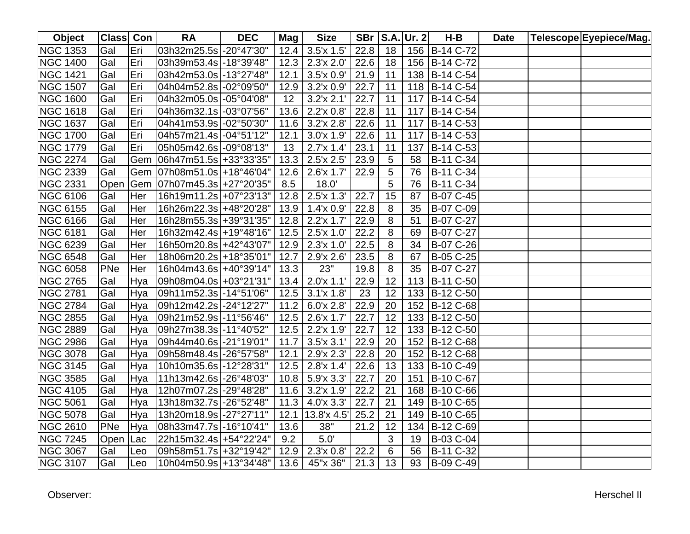| Object          | Class Con |     | <b>RA</b>               | <b>DEC</b> | Mag    | <b>Size</b>         | <b>SBr</b> |    | $ S.A. $ Ur. 2 | $H-B$         | <b>Date</b> | Telescope Eyepiece/Mag. |
|-----------------|-----------|-----|-------------------------|------------|--------|---------------------|------------|----|----------------|---------------|-------------|-------------------------|
| <b>NGC 1353</b> | Gal       | Eri | 03h32m25.5s -20°47'30"  |            |        | $12.4$ 3.5'x 1.5'   | 22.8       | 18 |                | 156 B-14 C-72 |             |                         |
| <b>NGC 1400</b> | Gal       | Eri | 03h39m53.4s -18°39'48"  |            | 12.3   | 2.3'x 2.0'          | 22.6       | 18 |                | 156 B-14 C-72 |             |                         |
| <b>NGC 1421</b> | Gal       | Eri | 03h42m53.0s -13°27'48"  |            | 12.1   | 3.5'x 0.9'          | 21.9       | 11 |                | 138 B-14 C-54 |             |                         |
| <b>NGC 1507</b> | Gal       | Eri | 04h04m52.8s -02°09'50"  |            | 12.9   | 3.2x 0.9'           | 22.7       | 11 |                | 118 B-14 C-54 |             |                         |
| <b>NGC 1600</b> | Gal       | Eri | 04h32m05.0s -05°04'08"  |            | 12     | $3.2'$ x $2.1'$     | 22.7       | 11 |                | 117 B-14 C-54 |             |                         |
| <b>NGC 1618</b> | Gal       | Eri | 04h36m32.1s -03°07'56"  |            | 13.6   | 2.2'x 0.8'          | 22.8       | 11 |                | 117 B-14 C-54 |             |                         |
| <b>NGC 1637</b> | Gal       | Eri | 04h41m53.9s -02°50'30"  |            |        | 11.6 $3.2x 2.8'$    | 22.6       | 11 |                | 117 B-14 C-53 |             |                         |
| <b>NGC 1700</b> | Gal       | Eri | 04h57m21.4s -04°51'12"  |            | 12.1   | 3.0'x 1.9'          | 22.6       | 11 |                | 117 B-14 C-53 |             |                         |
| <b>NGC 1779</b> | Gal       | Eri | 05h05m42.6s -09°08'13"  |            | 13     | 2.7'x 1.4'          | 23.1       | 11 |                | 137 B-14 C-53 |             |                         |
| <b>NGC 2274</b> | Gal       | Gem | 06h47m51.5s +33°33'35"  |            | 13.3   | $2.5'$ x $2.5'$     | 23.9       | 5  | 58             | B-11 C-34     |             |                         |
| <b>NGC 2339</b> | Gal       | Gem | 07h08m51.0s +18°46'04"  |            | 12.6   | 2.6'x 1.7'          | 22.9       | 5  | 76             | B-11 C-34     |             |                         |
| <b>NGC 2331</b> | Open      | Gem | 07h07m45.3s +27°20'35"  |            | 8.5    | 18.0'               |            | 5  | 76             | B-11 C-34     |             |                         |
| <b>NGC 6106</b> | Gal       | Her | 16h19m11.2s +07°23'13"  |            | 12.8   | 2.5'x 1.3'          | 22.7       | 15 | 87             | B-07 C-45     |             |                         |
| <b>NGC 6155</b> | Gal       | Her | 16h26m22.3s +48°20'28"  |            | 13.9   | 1.4x0.9'            | 22.8       | 8  | 35             | B-07 C-09     |             |                         |
| <b>NGC 6166</b> | Gal       | Her | 16h28m55.3s +39°31'35"  |            | 12.8   | 2.2'x 1.7'          | 22.9       | 8  | 51             | B-07 C-27     |             |                         |
| <b>NGC 6181</b> | Gal       | Her | 16h32m42.4s +19°48'16"  |            | 12.5   | 2.5'x 1.0'          | 22.2       | 8  | 69             | B-07 C-27     |             |                         |
| <b>NGC 6239</b> | Gal       | Her | 16h50m20.8s +42°43'07"  |            |        | $12.9$   2.3'x 1.0' | 22.5       | 8  | 34             | B-07 C-26     |             |                         |
| <b>NGC 6548</b> | Gal       | Her | 18h06m20.2s + 18°35'01" |            | 12.7   | 2.9'x 2.6'          | 23.5       | 8  | 67             | B-05 C-25     |             |                         |
| <b>NGC 6058</b> | PNe       | Her | 16h04m43.6s +40°39'14"  |            | 13.3   | 23"                 | 19.8       | 8  | 35             | B-07 C-27     |             |                         |
| <b>NGC 2765</b> | Gal       | Hya | 09h08m04.0s +03°21'31"  |            |        | $13.4$   2.0'x 1.1' | 22.9       | 12 | 113            | B-11 C-50     |             |                         |
| <b>NGC 2781</b> | Gal       | Hya | 09h11m52.3s -14°51'06"  |            |        | $12.5$ 3.1'x 1.8'   | 23         | 12 |                | 133 B-12 C-50 |             |                         |
| <b>NGC 2784</b> | Gal       | Hya | 09h12m42.2s -24°12'27"  |            | $11.2$ | 6.0'x 2.8'          | 22.9       | 20 |                | 152 B-12 C-68 |             |                         |
| <b>NGC 2855</b> | Gal       | Hya | 09h21m52.9s -11°56'46"  |            |        | $12.5$ 2.6'x 1.7'   | 22.7       | 12 |                | 133 B-12 C-50 |             |                         |
| <b>NGC 2889</b> | Gal       | Hya | 09h27m38.3s -11°40'52"  |            |        | $12.5$ 2.2'x 1.9'   | 22.7       | 12 |                | 133 B-12 C-50 |             |                         |
| <b>NGC 2986</b> | Gal       | Hya | 09h44m40.6s -21°19'01"  |            | 11.7   | $3.5'$ x $3.1'$     | 22.9       | 20 |                | 152 B-12 C-68 |             |                         |
| <b>NGC 3078</b> | Gal       | Hya | 09h58m48.4s -26°57'58"  |            | 12.1   | 2.9x 2.3'           | 22.8       | 20 |                | 152 B-12 C-68 |             |                         |
| <b>NGC 3145</b> | Gal       | Hya | 10h10m35.6s -12°28'31"  |            | 12.5   | $2.8'$ x 1.4'       | 22.6       | 13 |                | 133 B-10 C-49 |             |                         |
| <b>NGC 3585</b> | Gal       | Hya | 11h13m42.6s -26°48'03"  |            |        | $10.8$ 5.9'x 3.3'   | 22.7       | 20 |                | 151 B-10 C-67 |             |                         |
| <b>NGC 4105</b> | Gal       | Hya | 12h07m07.2s -29°48'28"  |            | 11.6   | 3.2'x 1.9'          | 22.2       | 21 |                | 168 B-10 C-66 |             |                         |
| <b>NGC 5061</b> | Gal       | Hya | 13h18m32.7s -26°52'48"  |            | 11.3   | 4.0x33'             | 22.7       | 21 |                | 149 B-10 C-65 |             |                         |
| <b>NGC 5078</b> | Gal       | Hya | 13h20m18.9s -27°27'11"  |            | 12.1   | 13.8'x 4.5'         | 25.2       | 21 |                | 149 B-10 C-65 |             |                         |
| <b>NGC 2610</b> | PNe       | Hya | 08h33m47.7s -16°10'41"  |            | 13.6   | 38"                 | 21.2       | 12 | 134            | B-12 C-69     |             |                         |
| <b>NGC 7245</b> | Open      | Lac | 22h15m32.4s +54°22'24"  |            | 9.2    | 5.0'                |            | 3  | 19             | B-03 C-04     |             |                         |
| <b>NGC 3067</b> | Gal       | Leo | 09h58m51.7s +32°19'42"  |            |        | $12.9$   2.3'x 0.8' | 22.2       | 6  | 56             | B-11 C-32     |             |                         |
| <b>NGC 3107</b> | Gal       | Leo | 10h04m50.9s +13°34'48"  |            |        | $13.6$ 45"x 36"     | 21.3       | 13 | 93             | B-09 C-49     |             |                         |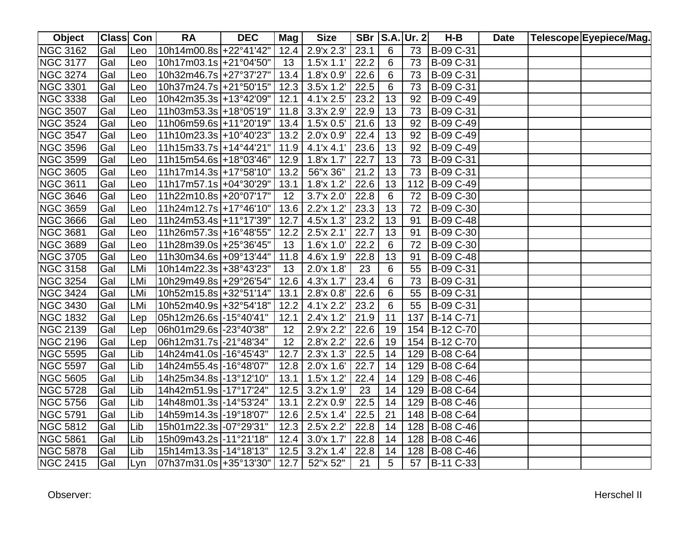| <b>Object</b>   | Class Con |     | <b>RA</b>               | <b>DEC</b> | Mag             | <b>Size</b>          |      |    | <b>SBr   S.A. Ur. 2</b> | H-B            | <b>Date</b> | Telescope Eyepiece/Mag. |
|-----------------|-----------|-----|-------------------------|------------|-----------------|----------------------|------|----|-------------------------|----------------|-------------|-------------------------|
| <b>NGC 3162</b> | Gal       | Leo | 10h14m00.8s +22°41'42"  |            |                 | $12.4$   $2.9x 2.3'$ | 23.1 | 6  | 73                      | B-09 C-31      |             |                         |
| <b>NGC 3177</b> | Gal       | Leo | 10h17m03.1s +21°04'50"  |            | 13 <sup>7</sup> | $1.5'$ x 1.1'        | 22.2 | 6  | 73                      | B-09 C-31      |             |                         |
| <b>NGC 3274</b> | Gal       | Leo | 10h32m46.7s +27°37'27"  |            |                 | $13.4$   1.8'x 0.9'  | 22.6 | 6  | 73                      | B-09 C-31      |             |                         |
| <b>NGC 3301</b> | Gal       | Leo | 10h37m24.7s +21°50'15"  |            | 12.3            | $3.5'$ x 1.2         | 22.5 | 6  | 73                      | B-09 C-31      |             |                         |
| <b>NGC 3338</b> | Gal       | Leo | 10h42m35.3s +13°42'09"  |            | 12.1            | 4.1'x 2.5'           | 23.2 | 13 | 92                      | B-09 C-49      |             |                         |
| <b>NGC 3507</b> | Gal       | Leo | 11h03m53.3s +18°05'19"  |            |                 | $11.8$ 3.3'x 2.9'    | 22.9 | 13 | 73                      | B-09 C-31      |             |                         |
| <b>NGC 3524</b> | Gal       | Leo | 11h06m59.6s +11°20'19"  |            |                 | $13.4$   1.5'x 0.5'  | 21.6 | 13 | 92                      | B-09 C-49      |             |                         |
| <b>NGC 3547</b> | Gal       | Leo | 11h10m23.3s +10°40'23"  |            |                 | $13.2$   2.0'x 0.9'  | 22.4 | 13 | 92                      | B-09 C-49      |             |                         |
| <b>NGC 3596</b> | Gal       | Leo | 11h15m33.7s +14°44'21"  |            |                 | $11.9$ 4.1'x 4.1'    | 23.6 | 13 | 92                      | B-09 C-49      |             |                         |
| <b>NGC 3599</b> | Gal       | Leo | 11h15m54.6s +18°03'46"  |            | 12.9            | 1.8x 1.7'            | 22.7 | 13 | 73                      | B-09 C-31      |             |                         |
| <b>NGC 3605</b> | Gal       | Leo | 11h17m14.3s +17°58'10"  |            | 13.2            | 56"x 36"             | 21.2 | 13 | 73                      | B-09 C-31      |             |                         |
| <b>NGC 3611</b> | Gal       | Leo | 11h17m57.1s +04°30'29"  |            | 13.1            | 1.8x 1.2'            | 22.6 | 13 | 112                     | B-09 C-49      |             |                         |
| <b>NGC 3646</b> | Gal       | Leo | 11h22m10.8s +20°07'17"  |            | 12              | 3.7'x 2.0'           | 22.8 | 6  | 72                      | B-09 C-30      |             |                         |
| NGC 3659        | Gal       | Leo | 11h24m12.7s +17°46'10"  |            | 13.6            | $2.2'$ x 1.2'        | 23.3 | 13 | 72                      | B-09 C-30      |             |                         |
| <b>NGC 3666</b> | Gal       | Leo | 11h24m53.4s +11°17'39"  |            | 12.7            | 4.5'x 1.3'           | 23.2 | 13 | 91                      | B-09 C-48      |             |                         |
| <b>NGC 3681</b> | Gal       | Leo | 11h26m57.3s +16°48'55"  |            | 12.2            | $2.5'$ x $2.1'$      | 22.7 | 13 | 91                      | B-09 C-30      |             |                         |
| <b>NGC 3689</b> | Gal       | Leo | 11h28m39.0s +25°36'45"  |            | 13              | 1.6'x 1.0'           | 22.2 | 6  | 72                      | B-09 C-30      |             |                         |
| <b>NGC 3705</b> | Gal       | Leo | 11h30m34.6s +09°13'44"  |            |                 | $11.8$ 4.6'x 1.9'    | 22.8 | 13 | 91                      | B-09 C-48      |             |                         |
| <b>NGC 3158</b> | Gal       | LMi | 10h14m22.3s + 38°43'23" |            | 13              | 2.0'x 1.8'           | 23   | 6  | 55                      | B-09 C-31      |             |                         |
| <b>NGC 3254</b> | Gal       | LMi | 10h29m49.8s +29°26'54"  |            | 12.6            | 4.3x 1.7'            | 23.4 | 6  | 73                      | B-09 C-31      |             |                         |
| <b>NGC 3424</b> | Gal       | LMi | 10h52m15.8s +32°51'14"  |            | 13.1            | $2.8'$ x $0.8'$      | 22.6 | 6  | 55                      | B-09 C-31      |             |                         |
| <b>NGC 3430</b> | Gal       | LMi | 10h52m40.9s +32°54'18"  |            |                 | $12.2$ 4.1'x 2.2'    | 23.2 | 6  | 55                      | B-09 C-31      |             |                         |
| <b>NGC 1832</b> | Gal       | Lep | 05h12m26.6s -15°40'41"  |            | 12.1            | 2.4x1.2              | 21.9 | 11 | 137                     | B-14 C-71      |             |                         |
| <b>NGC 2139</b> | Gal       | Lep | 06h01m29.6s -23°40'38"  |            | 12              | 2.9'x 2.2'           | 22.6 | 19 |                         | 154 B-12 C-70  |             |                         |
| <b>NGC 2196</b> | Gal       | Lep | 06h12m31.7s -21°48'34"  |            | 12              | 2.8'x 2.2'           | 22.6 | 19 |                         | 154 B-12 C-70  |             |                         |
| <b>NGC 5595</b> | Gal       | Lib | 14h24m41.0s -16°45'43"  |            | 12.7            | $2.3'x$ 1.3'         | 22.5 | 14 |                         | 129 B-08 C-64  |             |                         |
| <b>NGC 5597</b> | Gal       | Lib | 14h24m55.4s -16°48'07"  |            |                 | $12.8$   2.0'x 1.6'  | 22.7 | 14 |                         | 129 B-08 C-64  |             |                         |
| <b>NGC 5605</b> | Gal       | Lib | 14h25m34.8s -13°12'10"  |            | 13.1            | $1.5'$ x $1.2'$      | 22.4 | 14 |                         | 129 B-08 C-46  |             |                         |
| <b>NGC 5728</b> | Gal       | Lib | 14h42m51.9s -17°17'24"  |            | 12.5            | 3.2'x 1.9'           | 23   | 14 |                         | 129 B-08 C-64  |             |                         |
| <b>NGC 5756</b> | Gal       | Lib | 14h48m01.3s -14°53'24"  |            | 13.1            | $2.2'$ x $0.9'$      | 22.5 | 14 |                         | 129 B-08 C-46  |             |                         |
| <b>NGC 5791</b> | Gal       | Lib | 14h59m14.3s -19°18'07"  |            | 12.6            | $2.5'$ x 1.4'        | 22.5 | 21 |                         | 148 B-08 C-64  |             |                         |
| <b>NGC 5812</b> | Gal       | Lib | 15h01m22.3s -07°29'31"  |            | 12.3            | $2.5'$ x 2.2'        | 22.8 | 14 |                         | 128 B-08 C-46  |             |                         |
| <b>NGC 5861</b> | Gal       | Lib | 15h09m43.2s -11°21'18"  |            | 12.4            | $3.0x$ 1.7           | 22.8 | 14 |                         | 128 B-08 C-46  |             |                         |
| <b>NGC 5878</b> | Gal       | Lib | 15h14m13.3s -14°18'13"  |            | 12.5            | $3.2'$ x 1.4'        | 22.8 | 14 |                         | 128 B-08 C-46  |             |                         |
| <b>NGC 2415</b> | Gal       | Lyn | 07h37m31.0s +35°13'30"  |            | 12.7            | 52"x 52"             | 21   | 5  |                         | 57   B-11 C-33 |             |                         |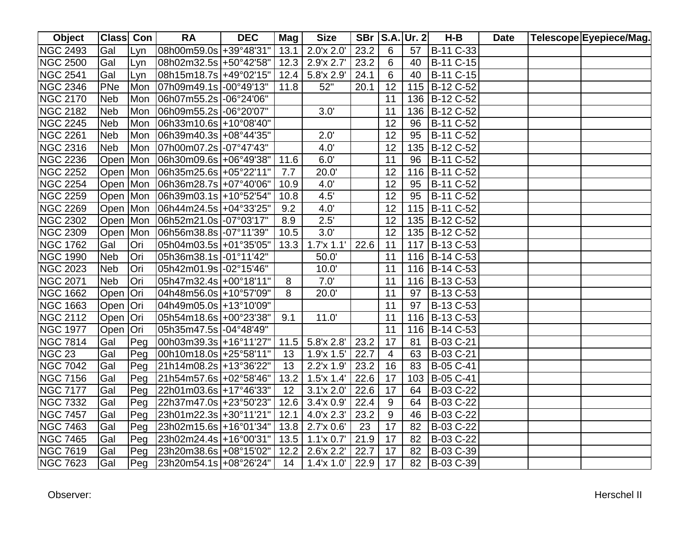| Object          | <b>Class Con</b> |     | <b>RA</b>                   | <b>DEC</b> | Mag  | <b>Size</b>       |      |                 | SBr   S.A.   Ur. 2 | $H-B$         | <b>Date</b> | Telescope Eyepiece/Mag. |
|-----------------|------------------|-----|-----------------------------|------------|------|-------------------|------|-----------------|--------------------|---------------|-------------|-------------------------|
| <b>NGC 2493</b> | Gal              | Lyn | 08h00m59.0s +39°48'31"      |            | 13.1 | 2.0'x 2.0'        | 23.2 | 6               | 57                 | B-11 C-33     |             |                         |
| <b>NGC 2500</b> | Gal              | Lyn | 08h02m32.5s +50°42'58"      |            | 12.3 | 2.9x 2.7'         | 23.2 | 6               | 40                 | B-11 C-15     |             |                         |
| <b>NGC 2541</b> | Gal              | Lyn | $ 08h15m18.7s  + 49°02'15"$ |            | 12.4 | 5.8'x 2.9'        | 24.1 | 6               | 40                 | B-11 C-15     |             |                         |
| <b>NGC 2346</b> | PNe              | Mon | 07h09m49.1s -00°49'13"      |            | 11.8 | 52"               | 20.1 | 12              |                    | 115 B-12 C-52 |             |                         |
| <b>NGC 2170</b> | <b>Neb</b>       | Mon | 06h07m55.2s -06°24'06"      |            |      |                   |      | 11              |                    | 136 B-12 C-52 |             |                         |
| <b>NGC 2182</b> | <b>Neb</b>       | Mon | 06h09m55.2s -06°20'07"      |            |      | 3.0'              |      | 11              |                    | 136 B-12 C-52 |             |                         |
| <b>NGC 2245</b> | <b>Neb</b>       | Mon | 06h33m10.6s +10°08'40"      |            |      |                   |      | 12              | 96                 | B-11 C-52     |             |                         |
| <b>NGC 2261</b> | <b>Neb</b>       | Mon | 06h39m40.3s +08°44'35"      |            |      | 2.0'              |      | 12              | 95                 | B-11 C-52     |             |                         |
| <b>NGC 2316</b> | Neb              | Mon | 07h00m07.2s -07°47'43"      |            |      | 4.0'              |      | $\overline{12}$ |                    | 135 B-12 C-52 |             |                         |
| <b>NGC 2236</b> | Open Mon         |     | 06h30m09.6s +06°49'38"      |            | 11.6 | 6.0'              |      | 11              | 96                 | B-11 C-52     |             |                         |
| <b>NGC 2252</b> | Open Mon         |     | 06h35m25.6s +05°22'11"      |            | 7.7  | 20.0'             |      | 12              | 116                | B-11 C-52     |             |                         |
| <b>NGC 2254</b> | Open Mon         |     | 06h36m28.7s +07°40'06'      |            | 10.9 | 4.0'              |      | 12              | 95                 | B-11 C-52     |             |                         |
| <b>NGC 2259</b> | Open Mon         |     | 06h39m03.1s +10°52'54"      |            | 10.8 | 4.5'              |      | 12              | 95                 | B-11 C-52     |             |                         |
| <b>NGC 2269</b> | Open Mon         |     | 06h44m24.5s +04°33'25"      |            | 9.2  | 4.0'              |      | 12              | 115                | B-11 C-52     |             |                         |
| <b>NGC 2302</b> | Open Mon         |     | 06h52m21.0s -07°03'17"      |            | 8.9  | 2.5'              |      | 12              |                    | 135 B-12 C-52 |             |                         |
| <b>NGC 2309</b> | Open Mon         |     | 06h56m38.8s -07°11'39"      |            | 10.5 | 3.0'              |      | 12              |                    | 135 B-12 C-52 |             |                         |
| <b>NGC 1762</b> | Gal              | Ori | 05h04m03.5s +01°35'05"      |            | 13.3 | 1.7x11'           | 22.6 | 11              | 117                | B-13 C-53     |             |                         |
| <b>NGC 1990</b> | <b>Neb</b>       | Ori | 05h36m38.1s -01°11'42"      |            |      | 50.0'             |      | 11              |                    | 116 B-14 C-53 |             |                         |
| <b>NGC 2023</b> | <b>Neb</b>       | Ori | 05h42m01.9s -02°15'46"      |            |      | 10.0'             |      | 11              |                    | 116 B-14 C-53 |             |                         |
| <b>NGC 2071</b> | <b>Neb</b>       | Ori | 05h47m32.4s +00°18'11"      |            | 8    | 7.0'              |      | 11              |                    | 116 B-13 C-53 |             |                         |
| <b>NGC 1662</b> | Open   Ori       |     | 04h48m56.0s +10°57'09"      |            | 8    | 20.0'             |      | 11              | 97                 | B-13 C-53     |             |                         |
| <b>NGC 1663</b> | Open   Ori       |     | 04h49m05.0s +13°10'09"      |            |      |                   |      | 11              | 97                 | B-13 C-53     |             |                         |
| <b>NGC 2112</b> | Open Ori         |     | 05h54m18.6s +00°23'38"      |            | 9.1  | 11.0'             |      | 11              |                    | 116 B-13 C-53 |             |                         |
| <b>NGC 1977</b> | Open   Ori       |     | 05h35m47.5s -04°48'49"      |            |      |                   |      | 11              |                    | 116 B-14 C-53 |             |                         |
| <b>NGC 7814</b> | Gal              | Peg | 00h03m39.3s +16°11'27"      |            |      | $11.5$ 5.8'x 2.8' | 23.2 | 17              | 81                 | B-03 C-21     |             |                         |
| <b>NGC 23</b>   | Gal              | Peg | 00h10m18.0s +25°58'11"      |            | 13   | 1.9'x 1.5'        | 22.7 | $\overline{4}$  | 63                 | B-03 C-21     |             |                         |
| <b>NGC 7042</b> | Gal              | Peg | 21h14m08.2s +13°36'22"      |            | 13   | 2.2'x 1.9'        | 23.2 | 16              | 83                 | B-05 C-41     |             |                         |
| <b>NGC 7156</b> | Gal              | Peg | 21h54m57.6s +02°58'46"      |            | 13.2 | 1.5'x 1.4'        | 22.6 | 17              | 103                | B-05 C-41     |             |                         |
| <b>NGC 7177</b> | Gal              | Peg | 22h01m03.6s +17°46'33"      |            | 12   | 3.1'x 2.0'        | 22.6 | 17              | 64                 | B-03 C-22     |             |                         |
| <b>NGC 7332</b> | Gal              | Peg | 22h37m47.0s +23°50'23"      |            | 12.6 | $3.4'$ x $0.9'$   | 22.4 | 9               | 64                 | B-03 C-22     |             |                         |
| <b>NGC 7457</b> | Gal              | Peg | 23h01m22.3s +30°11'21"      |            | 12.1 | 4.0'x 2.3'        | 23.2 | 9               | 46                 | B-03 C-22     |             |                         |
| <b>NGC 7463</b> | Gal              | Peg | 23h02m15.6s +16°01'34"      |            |      | 13.8 2.7'x 0.6'   | 23   | 17              | 82                 | B-03 C-22     |             |                         |
| <b>NGC 7465</b> | Gal              | Peg | 23h02m24.4s +16°00'31"      |            | 13.5 | $1.1'$ x $0.7'$   | 21.9 | 17              | 82                 | B-03 C-22     |             |                         |
| <b>NGC 7619</b> | Gal              | Peg | 23h20m38.6s +08°15'02"      |            | 12.2 | 2.6'x 2.2'        | 22.7 | 17              | 82                 | B-03 C-39     |             |                         |
| <b>NGC 7623</b> | Gal              | Peg | 23h20m54.1s +08°26'24"      |            | 14   | 1.4x11.0'         | 22.9 | 17              | 82                 | B-03 C-39     |             |                         |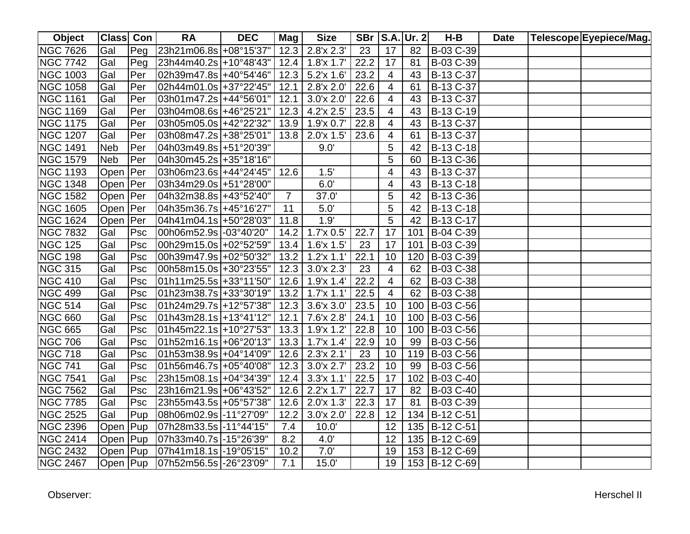| Object          | Class Con  |                            | <b>RA</b>                   | <b>DEC</b> | Mag            | <b>Size</b>                  |      |                         | <b>SBr   S.A. Ur. 2</b> | H-B             | <b>Date</b> | Telescope Eyepiece/Mag. |
|-----------------|------------|----------------------------|-----------------------------|------------|----------------|------------------------------|------|-------------------------|-------------------------|-----------------|-------------|-------------------------|
| <b>NGC 7626</b> | Gal        | Peg                        | 23h21m06.8s +08°15'37"      |            |                | $12.3$   2.8'x 2.3'          | 23   | 17                      | 82                      | B-03 C-39       |             |                         |
| <b>NGC 7742</b> | Gal        | $\overline{\mathsf{P}}$ eg | 23h44m40.2s +10°48'43"      |            | 12.4           | 1.8x 1.7'                    | 22.2 | 17                      | 81                      | B-03 C-39       |             |                         |
| <b>NGC 1003</b> | Gal        | Per                        | 02h39m47.8s +40°54'46"      |            |                | $12.3$ 5.2'x 1.6'            | 23.2 | 4                       | 43                      | B-13 C-37       |             |                         |
| <b>NGC 1058</b> | Gal        | Per                        | 02h44m01.0s + 37° 22' 45"   |            | 12.1           | 2.8'x 2.0'                   | 22.6 | 4                       | 61                      | B-13 C-37       |             |                         |
| <b>NGC 1161</b> | Gal        | Per                        | 03h01m47.2s +44°56'01"      |            | 12.1           | 3.0x 2.0'                    | 22.6 | 4                       | 43                      | B-13 C-37       |             |                         |
| <b>NGC 1169</b> | Gal        | Per                        | 03h04m08.6s +46°25'21"      |            |                | $12.3$ 4.2'x 2.5'            | 23.5 | $\overline{\mathbf{4}}$ | 43                      | B-13 C-19       |             |                         |
| <b>NGC 1175</b> | Gal        | Per                        | 03h05m05.0s +42°22'32"      |            |                | $13.9$   1.9'x 0.7'          | 22.8 | 4                       | 43                      | B-13 C-37       |             |                         |
| <b>NGC 1207</b> | Gal        | Per                        | 03h08m47.2s + 38° 25' 01"   |            | 13.8           | 2.0x 1.5'                    | 23.6 | 4                       | 61                      | B-13 C-37       |             |                         |
| <b>NGC 1491</b> | <b>Neb</b> | Per                        | 04h03m49.8s +51°20'39"      |            |                | 9.0'                         |      | 5                       | 42                      | B-13 C-18       |             |                         |
| <b>NGC 1579</b> | <b>Neb</b> | Per                        | 04h30m45.2s + 35°18'16"     |            |                |                              |      | 5                       | 60                      | B-13 C-36       |             |                         |
| <b>NGC 1193</b> | Open   Per |                            | 03h06m23.6s +44°24'45"      |            | 12.6           | 1.5'                         |      | 4                       | 43                      | B-13 C-37       |             |                         |
| <b>NGC 1348</b> | Open   Per |                            | 03h34m29.0s +51°28'00"      |            |                | 6.0'                         |      | 4                       | 43                      | B-13 C-18       |             |                         |
| <b>NGC 1582</b> | Open   Per |                            |                             |            | $\overline{7}$ | 37.0'                        |      | 5                       | 42                      | B-13 C-36       |             |                         |
| <b>NGC 1605</b> | Open   Per |                            |                             |            | 11             | 5.0'                         |      | 5                       | 42                      | B-13 C-18       |             |                         |
| <b>NGC 1624</b> | Open   Per |                            | 04h41m04.1s +50°28'03"      |            | 11.8           | 1.9'                         |      | 5                       | 42                      | B-13 C-17       |             |                         |
| <b>NGC 7832</b> | Gal        | Psc                        | 00h06m52.9s -03°40'20"      |            | 14.2           | 1.7x 0.5'                    | 22.7 | 17                      | 101                     | B-04 C-39       |             |                         |
| <b>NGC 125</b>  | Gal        | Psc                        | 00h29m15.0s +02°52'59"      |            | 13.4           | $1.6'$ x $1.5'$              | 23   | 17                      | 101                     | B-03 C-39       |             |                         |
| <b>NGC 198</b>  | Gal        | Psc                        | 00h39m47.9s +02°50'32"      |            | 13.2           | $1.2'$ x $1.1'$              | 22.1 | 10                      | 120                     | B-03 C-39       |             |                         |
| <b>NGC 315</b>  | Gal        | Psc                        | 00h58m15.0s +30°23'55"      |            |                | $12.3$ 3.0'x 2.3'            | 23   | 4                       | 62                      | B-03 C-38       |             |                         |
| <b>NGC 410</b>  | Gal        | Psc                        | 01h11m25.5s +33°11'50"      |            |                | $12.6$   1.9'x 1.4'          | 22.2 | 4                       | 62                      | B-03 C-38       |             |                         |
| <b>NGC 499</b>  | Gal        | Psc                        | 01h23m38.7s + 33°30'19"     |            |                | $13.2$   1.7'x 1.1'          | 22.5 | $\overline{4}$          | 62                      | B-03 C-38       |             |                         |
| <b>NGC 514</b>  | Gal        | Psc                        | 01h24m29.7s +12°57'38"      |            |                | $12.3$ 3.6'x 3.0'            | 23.5 | 10                      |                         | 100 B-03 C-56   |             |                         |
| <b>NGC 660</b>  | Gal        | Psc                        | $ 01h43m28.1s  + 13°41'12"$ |            |                | $12.1$ 7.6'x 2.8'            | 24.1 | 10                      |                         | 100 B-03 C-56   |             |                         |
| <b>NGC 665</b>  | Gal        | Psc                        | 01h45m22.1s +10°27'53"      |            |                | 13.3 1.9'x 1.2'              | 22.8 | 10                      |                         | 100 B-03 C-56   |             |                         |
| <b>NGC 706</b>  | Gal        | <b>Psc</b>                 | 01h52m16.1s +06°20'13"      |            |                | $13.3$   1.7'x 1.4'          | 22.9 | 10                      | 99                      | B-03 C-56       |             |                         |
| <b>NGC 718</b>  | Gal        | Psc                        | 01h53m38.9s +04°14'09"      |            |                | $\overline{12.6}$ 2.3'x 2.1' | 23   | 10                      |                         | 119 B-03 C-56   |             |                         |
| <b>NGC 741</b>  | Gal        | Psc                        | 01h56m46.7s +05°40'08"      |            |                | $12.3$ 3.0'x 2.7'            | 23.2 | 10                      | 99                      | B-03 C-56       |             |                         |
| <b>NGC 7541</b> | Gal        | Psc                        | 23h15m08.1s +04°34'39"      |            | 12.4           | $3.3'x$ 1.1                  | 22.5 | 17                      | 102                     | B-03 C-40       |             |                         |
| <b>NGC 7562</b> | Gal        | Psc                        | 23h16m21.9s +06°43'52"      |            | 12.6           | 2.2'x 1.7'                   | 22.7 | 17                      | 82                      | B-03 C-40       |             |                         |
| <b>NGC 7785</b> | Gal        | Psc                        | 23h55m43.5s +05°57'38"      |            | 12.6           | 2.0x 1.3'                    | 22.3 | 17                      | 81                      | B-03 C-39       |             |                         |
| <b>NGC 2525</b> | Gal        | Pup                        | 08h06m02.9s -11°27'09"      |            | 12.2           | 3.0x 2.0'                    | 22.8 | 12                      | 134                     | B-12 C-51       |             |                         |
| <b>NGC 2396</b> | Open   Pup |                            | 07h28m33.5s -11°44'15"      |            | 7.4            | 10.0'                        |      | 12                      | 135                     | B-12 C-51       |             |                         |
| <b>NGC 2414</b> | Open Pup   |                            | 07h33m40.7s -15°26'39"      |            | 8.2            | 4.0'                         |      | 12                      |                         | 135 B-12 C-69   |             |                         |
| <b>NGC 2432</b> | Open Pup   |                            | 07h41m18.1s -19°05'15"      |            | 10.2           | 7.0'                         |      | 19                      |                         | 153 B-12 C-69   |             |                         |
| <b>NGC 2467</b> | Open Pup   |                            | 07h52m56.5s -26°23'09"      |            | 7.1            | 15.0'                        |      | 19                      |                         | 153   B-12 C-69 |             |                         |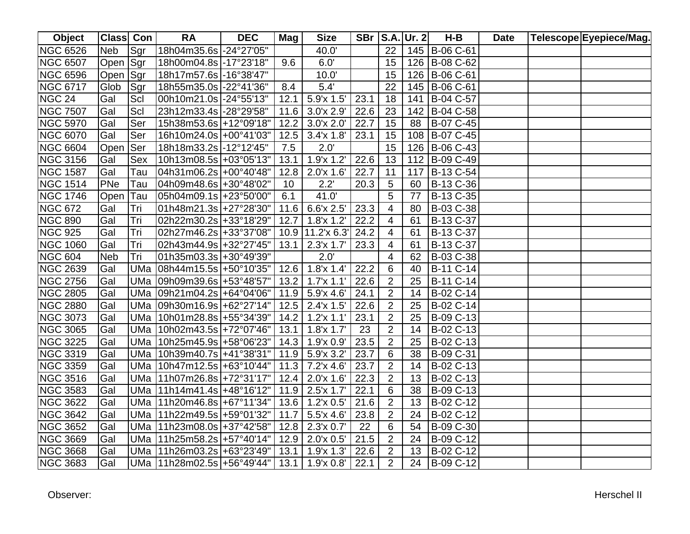| <b>Object</b>   | Class Con  |            | <b>RA</b>                      | <b>DEC</b> | Mag  | <b>Size</b>         |      |                | <b>SBr   S.A. Ur. 2</b> | H-B           | <b>Date</b> | Telescope Eyepiece/Mag. |
|-----------------|------------|------------|--------------------------------|------------|------|---------------------|------|----------------|-------------------------|---------------|-------------|-------------------------|
| <b>NGC 6526</b> | Neb        | Sgr        | 18h04m35.6s -24°27'05"         |            |      | 40.0'               |      | 22             |                         | 145 B-06 C-61 |             |                         |
| <b>NGC 6507</b> | Open Sgr   |            | 18h00m04.8s -17°23'18"         |            | 9.6  | 6.0'                |      | 15             |                         | 126 B-08 C-62 |             |                         |
| <b>NGC 6596</b> | Open Sgr   |            | 18h17m57.6s -16°38'47"         |            |      | 10.0'               |      | 15             |                         | 126 B-06 C-61 |             |                         |
| <b>NGC 6717</b> | Glob       | Sgr        | 18h55m35.0s -22°41'36"         |            | 8.4  | 5.4'                |      | 22             |                         | 145 B-06 C-61 |             |                         |
| <b>NGC 24</b>   | Gal        | Scl        | 00h10m21.0s -24°55'13"         |            | 12.1 | 5.9'x 1.5'          | 23.1 | 18             |                         | 141 B-04 C-57 |             |                         |
| <b>NGC 7507</b> | Gal        | Scl        | 23h12m33.4s -28°29'58"         |            |      | 11.6 $3.0x 2.9'$    | 22.6 | 23             |                         | 142 B-04 C-58 |             |                         |
| <b>NGC 5970</b> | Gal        | Ser        | 15h38m53.6s +12°09'18"         |            | 12.2 | 3.0x 2.0'           | 22.7 | 15             | 88                      | B-07 C-45     |             |                         |
| <b>NGC 6070</b> | Gal        | Ser        | 16h10m24.0s +00°41'03"         |            | 12.5 | 3.4'x 1.8'          | 23.1 | 15             |                         | 108 B-07 C-45 |             |                         |
| <b>NGC 6604</b> | Open       | <b>Ser</b> | 18h18m33.2s -12°12'45"         |            | 7.5  | 2.0'                |      | 15             |                         | 126 B-06 C-43 |             |                         |
| <b>NGC 3156</b> | Gal        | <b>Sex</b> | 10h13m08.5s +03°05'13"         |            | 13.1 | 1.9x1.2'            | 22.6 | 13             |                         | 112 B-09 C-49 |             |                         |
| <b>NGC 1587</b> | Gal        | Tau        | 04h31m06.2s +00°40'48"         |            | 12.8 | 2.0'x 1.6'          | 22.7 | 11             | 117                     | B-13 C-54     |             |                         |
| <b>NGC 1514</b> | PNe        | Tau        | 04h09m48.6s +30°48'02"         |            | 10   | 2.2'                | 20.3 | 5              | 60                      | B-13 C-36     |             |                         |
| <b>NGC 1746</b> | Open       | Tau        | 05h04m09.1s +23°50'00"         |            | 6.1  | 41.0'               |      | 5              | 77                      | B-13 C-35     |             |                         |
| <b>NGC 672</b>  | Gal        | Tri        | 01h48m21.3s +27°28'30"         |            |      | 11.6 6.6'x 2.5'     | 23.3 | 4              | 80                      | B-03 C-38     |             |                         |
| <b>NGC 890</b>  | Gal        | Tri        | 02h22m30.2s +33°18'29"         |            | 12.7 | $1.8$ 'x $1.2'$     | 22.2 | 4              | 61                      | B-13 C-37     |             |                         |
| <b>NGC 925</b>  | Gal        | Tri        | 02h27m46.2s +33°37'08"         |            |      | 10.9 11.2'x 6.3'    | 24.2 | 4              | 61                      | B-13 C-37     |             |                         |
| <b>NGC 1060</b> | Gal        | Tri        | 02h43m44.9s +32°27'45"         |            | 13.1 | $2.3'x$ 1.7'        | 23.3 | 4              | 61                      | B-13 C-37     |             |                         |
| <b>NGC 604</b>  | <b>Neb</b> | Tri        | 01h35m03.3s +30°49'39"         |            |      | 2.0'                |      | 4              | 62                      | B-03 C-38     |             |                         |
| <b>NGC 2639</b> | Gal        | <b>UMa</b> | 08h44m15.5s +50°10'35"         |            |      | $12.6$   1.8'x 1.4' | 22.2 | 6              | 40                      | B-11 C-14     |             |                         |
| <b>NGC 2756</b> | Gal        | <b>UMa</b> | 09h09m39.6s +53°48'57"         |            | 13.2 | 1.7x 1.1'           | 22.6 | $\overline{2}$ | 25                      | B-11 C-14     |             |                         |
| <b>NGC 2805</b> | Gal        |            | UMa 09h21m04.2s +64°04'06"     |            |      | $11.9$ 5.9'x 4.6'   | 24.1 | $\overline{2}$ | 14                      | B-02 C-14     |             |                         |
| <b>NGC 2880</b> | Gal        |            | UMa 09h30m16.9s +62°27'14"     |            |      | $12.5$ 2.4'x 1.5'   | 22.6 | $\overline{2}$ | 25                      | B-02 C-14     |             |                         |
| <b>NGC 3073</b> | Gal        |            | UMa 10h01m28.8s +55°34'39"     |            | 14.2 | 1.2x 1.1'           | 23.1 | 2              | 25                      | B-09 C-13     |             |                         |
| <b>NGC 3065</b> | Gal        |            | UMa 10h02m43.5s +72°07'46"     |            |      | $13.1$ 1.8'x 1.7'   | 23   | $\overline{2}$ | 14                      | B-02 C-13     |             |                         |
| <b>NGC 3225</b> | Gal        |            | UMa   10h25m45.9s   +58°06'23" |            |      | $14.3$   1.9'x 0.9' | 23.5 | $\overline{2}$ | 25                      | B-02 C-13     |             |                         |
| <b>NGC 3319</b> | Gal        |            | UMa 10h39m40.7s +41°38'31"     |            |      | $11.9$ 5.9'x 3.2'   | 23.7 | 6              | 38                      | B-09 C-31     |             |                         |
| <b>NGC 3359</b> | Gal        |            | UMa 10h47m12.5s +63°10'44"     |            | 11.3 | 7.2'x 4.6'          | 23.7 | $\overline{2}$ | 14                      | B-02 C-13     |             |                         |
| <b>NGC 3516</b> | Gal        |            | UMa   11h07m26.8s   +72°31'17" |            | 12.4 | 2.0x 1.6'           | 22.3 | $\overline{2}$ | 13                      | B-02 C-13     |             |                         |
| <b>NGC 3583</b> | Gal        |            | UMa   11h14m41.4s   +48°16'12" |            |      | $11.9$ 2.5'x 1.7'   | 22.1 | 6              | 38                      | B-09 C-13     |             |                         |
| <b>NGC 3622</b> | Gal        |            | UMa   11h20m46.8s   +67°11'34" |            |      | 13.6 $1.2$ 'x 0.5'  | 21.6 | $\overline{2}$ | 13                      | B-02 C-12     |             |                         |
| <b>NGC 3642</b> | Gal        |            | UMa   11h22m49.5s   +59°01'32" |            | 11.7 | $5.5$ 'x 4.6'       | 23.8 | $\overline{2}$ | 24                      | B-02 C-12     |             |                         |
| <b>NGC 3652</b> | Gal        |            | UMa   11h23m08.0s   +37°42'58" |            |      | $12.8$   2.3'x 0.7' | 22   | 6              | 54                      | B-09 C-30     |             |                         |
| <b>NGC 3669</b> | Gal        |            | UMa   11h25m58.2s   +57°40'14" |            |      | $12.9$   2.0'x 0.5' | 21.5 | $\overline{2}$ | 24                      | B-09 C-12     |             |                         |
| <b>NGC 3668</b> | Gal        |            | UMa   11h26m03.2s   +63°23'49" |            | 13.1 | 1.9x 1.3'           | 22.6 | $\overline{2}$ | 13                      | B-02 C-12     |             |                         |
| <b>NGC 3683</b> | Gal        |            | UMa   11h28m02.5s   +56°49'44" |            |      | $13.1$   1.9'x 0.8' | 22.1 | $\overline{2}$ |                         | 24 B-09 C-12  |             |                         |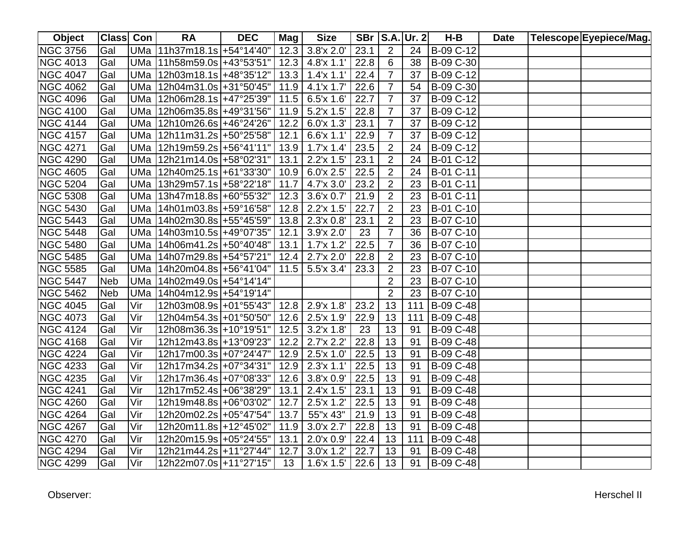| Object          | <b>Class Con</b> |            | <b>RA</b>                                 | <b>DEC</b> | Mag  | <b>Size</b>                  |      |                | SBr   S.A.   Ur. 2 | $H-B$     | <b>Date</b> | Telescope Eyepiece/Mag. |
|-----------------|------------------|------------|-------------------------------------------|------------|------|------------------------------|------|----------------|--------------------|-----------|-------------|-------------------------|
| <b>NGC 3756</b> | Gal              |            | UMa 11h37m18.1s +54°14'40"                |            |      | $12.3$ 3.8'x 2.0'            | 23.1 | $\overline{2}$ | 24                 | B-09 C-12 |             |                         |
| <b>NGC 4013</b> | Gal              |            | UMa 11h58m59.0s +43°53'51"                |            |      | $12.3$ 4.8'x 1.1'            | 22.8 | 6              | 38                 | B-09 C-30 |             |                         |
| <b>NGC 4047</b> | Gal              |            | UMa   12h03m18.1s   +48°35'12"            |            | 13.3 | $1.4'$ x $1.1'$              | 22.4 | $\overline{7}$ | 37                 | B-09 C-12 |             |                         |
| <b>NGC 4062</b> | Gal              |            | UMa   12h04m31.0s   + 31° 50' 45"         |            | 11.9 | 4.1'x 1.7'                   | 22.6 | $\overline{7}$ | 54                 | B-09 C-30 |             |                         |
| <b>NGC 4096</b> | Gal              |            | UMa   12h06m28.1s   +47°25'39"            |            |      | $11.5$ 6.5'x 1.6'            | 22.7 | $\overline{7}$ | 37                 | B-09 C-12 |             |                         |
| <b>NGC 4100</b> | Gal              |            | UMa   12h06m35.8s   +49°31'56"            |            | 11.9 | 5.2'x 1.5'                   | 22.8 | $\overline{7}$ | 37                 | B-09 C-12 |             |                         |
| <b>NGC 4144</b> | Gal              | <b>UMa</b> | 12h10m26.6s +46°24'26"                    |            | 12.2 | 6.0x1.3'                     | 23.1 | $\overline{7}$ | 37                 | B-09 C-12 |             |                         |
| <b>NGC 4157</b> | Gal              | UMa        | $12h11m31.2s$ +50°25'58"                  |            | 12.1 | 6.6'x 1.1'                   | 22.9 | $\overline{7}$ | 37                 | B-09 C-12 |             |                         |
| <b>NGC 4271</b> | Gal              | <b>UMa</b> | 12h19m59.2s +56°41'11"                    |            | 13.9 | 1.7x 1.4'                    | 23.5 | $\overline{2}$ | 24                 | B-09 C-12 |             |                         |
| <b>NGC 4290</b> | Gal              | UMa        | 12h21m14.0s +58°02'31"                    |            | 13.1 | 2.2'x 1.5'                   | 23.1 | $\overline{2}$ | 24                 | B-01 C-12 |             |                         |
| <b>NGC 4605</b> | Gal              | UMa        | 12h40m25.1s +61°33'30"                    |            | 10.9 | 6.0x 2.5'                    | 22.5 | $\overline{2}$ | 24                 | B-01 C-11 |             |                         |
| <b>NGC 5204</b> | Gal              | UMa        | 13h29m57.1s +58°22'18"                    |            | 11.7 | 4.7'x 3.0'                   | 23.2 | $\overline{2}$ | 23                 | B-01 C-11 |             |                         |
| <b>NGC 5308</b> | Gal              | UMa        | 13h47m18.8s +60°55'32"                    |            | 12.3 | 3.6'x 0.7'                   | 21.9 | $\overline{2}$ | 23                 | B-01 C-11 |             |                         |
| <b>NGC 5430</b> | Gal              | UMa        | 14h01m03.8s +59°16'58"                    |            | 12.8 | 2.2'x 1.5'                   | 22.7 | $\overline{2}$ | 23                 | B-01 C-10 |             |                         |
| <b>NGC 5443</b> | Gal              | UMa        | 14h02m30.8s +55°45'59"                    |            |      | $13.8$   2.3'x 0.8'          | 23.1 | $\overline{2}$ | 23                 | B-07 C-10 |             |                         |
| <b>NGC 5448</b> | Gal              | UMa        | 14h03m10.5s +49°07'35"                    |            | 12.1 | 3.9'x 2.0'                   | 23   | $\overline{7}$ | 36                 | B-07 C-10 |             |                         |
| <b>NGC 5480</b> | Gal              | UMa        | $14h06m41.2s$ +50°40'48"                  |            | 13.1 | 1.7x1.2'                     | 22.5 | $\overline{7}$ | 36                 | B-07 C-10 |             |                         |
| <b>NGC 5485</b> | Gal              | UMa        | 14h07m29.8s +54°57'21"                    |            | 12.4 | 2.7'x 2.0'                   | 22.8 | $\overline{2}$ | 23                 | B-07 C-10 |             |                         |
| <b>NGC 5585</b> | Gal              | UMa        | 14h20m04.8s +56°41'04"                    |            |      | $11.5$ 5.5'x 3.4'            | 23.3 | $\overline{2}$ | 23                 | B-07 C-10 |             |                         |
| <b>NGC 5447</b> | <b>Neb</b>       | <b>UMa</b> | $14h02m49.0s$ +54°14'14"                  |            |      |                              |      | $\overline{2}$ | 23                 | B-07 C-10 |             |                         |
| <b>NGC 5462</b> | <b>Neb</b>       |            | UMa   14h04m12.9s   +54°19'14"            |            |      |                              |      | $\overline{2}$ | 23                 | B-07 C-10 |             |                         |
| <b>NGC 4045</b> | Gal              | Vir        | 12h03m08.9s +01°55'43"  12.8   2.9'x 1.8' |            |      |                              | 23.2 | 13             | 111                | B-09 C-48 |             |                         |
| <b>NGC 4073</b> | Gal              | Vir        | 12h04m54.3s +01°50'50"                    |            |      | $12.6$ 2.5'x 1.9'            | 22.9 | 13             | 111                | B-09 C-48 |             |                         |
| <b>NGC 4124</b> | Gal              | Vir        | 12h08m36.3s +10°19'51"                    |            |      | $12.5$ 3.2'x 1.8'            | 23   | 13             | 91                 | B-09 C-48 |             |                         |
| <b>NGC 4168</b> | Gal              | Vir        | 12h12m43.8s +13°09'23"                    |            |      | $\overline{12.2}$ 2.7'x 2.2' | 22.8 | 13             | 91                 | B-09 C-48 |             |                         |
| <b>NGC 4224</b> | Gal              | Vir        | 12h17m00.3s +07°24'47"                    |            | 12.9 | 2.5'x 1.0'                   | 22.5 | 13             | 91                 | B-09 C-48 |             |                         |
| <b>NGC 4233</b> | Gal              | Vir        | 12h17m34.2s +07°34'31'                    |            | 12.9 | 2.3'x 1.1'                   | 22.5 | 13             | 91                 | B-09 C-48 |             |                         |
| <b>NGC 4235</b> | Gal              | Vir        | 12h17m36.4s +07°08'33"                    |            | 12.6 | 3.8'x 0.9'                   | 22.5 | 13             | 91                 | B-09 C-48 |             |                         |
| <b>NGC 4241</b> | Gal              | Vir        | 12h17m52.4s +06°38'29"                    |            | 13.1 | $2.4'x$ 1.5'                 | 23.1 | 13             | 91                 | B-09 C-48 |             |                         |
| <b>NGC 4260</b> | Gal              | Vir        | 12h19m48.8s +06°03'02"                    |            | 12.7 | 2.5'x 1.2'                   | 22.5 | 13             | 91                 | B-09 C-48 |             |                         |
| <b>NGC 4264</b> | Gal              | Vir        | 12h20m02.2s +05°47'54"                    |            | 13.7 | 55"x 43"                     | 21.9 | 13             | 91                 | B-09 C-48 |             |                         |
| <b>NGC 4267</b> | Gal              | Vir        | 12h20m11.8s +12°45'02"                    |            | 11.9 | 3.0x 2.7'                    | 22.8 | 13             | 91                 | B-09 C-48 |             |                         |
| <b>NGC 4270</b> | Gal              | Vir        | 12h20m15.9s +05°24'55"                    |            | 13.1 | 2.0x 0.9'                    | 22.4 | 13             | 111                | B-09 C-48 |             |                         |
| <b>NGC 4294</b> | Gal              | Vir        | 12h21m44.2s +11°27'44"                    |            | 12.7 | 3.0'x 1.2'                   | 22.7 | 13             | 91                 | B-09 C-48 |             |                         |
| <b>NGC 4299</b> | Gal              | Vir        | 12h22m07.0s +11°27'15"                    |            | 13   | $1.6$ 'x $1.5'$              | 22.6 | 13             | 91                 | B-09 C-48 |             |                         |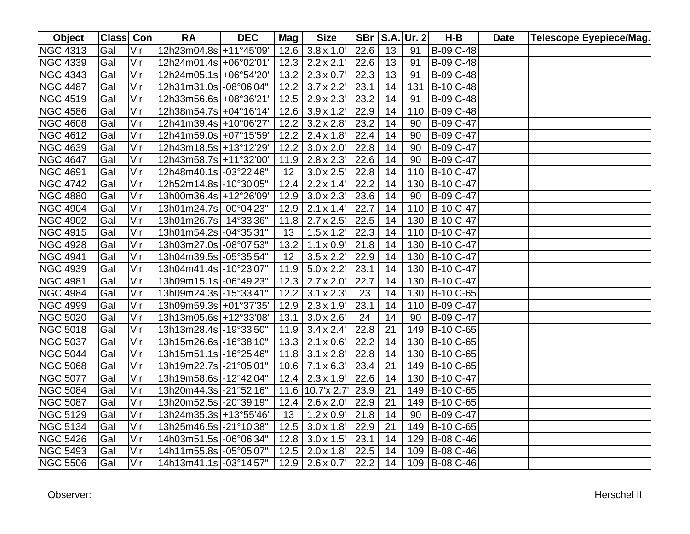| Object          | <b>Class Con</b> |     | <b>RA</b>              | <b>DEC</b> | Mag  | <b>Size</b>         |      |    | SBr   S.A.   Ur. 2 | $H-B$            | <b>Date</b> | Telescope Eyepiece/Mag. |
|-----------------|------------------|-----|------------------------|------------|------|---------------------|------|----|--------------------|------------------|-------------|-------------------------|
| <b>NGC 4313</b> | Gal              | Vir | 12h23m04.8s +11°45'09" |            |      | $12.6$ 3.8'x 1.0'   | 22.6 | 13 | 91                 | B-09 C-48        |             |                         |
| <b>NGC 4339</b> | Gal              | Vir | 12h24m01.4s +06°02'01" |            | 12.3 | $2.2'$ x $2.1'$     | 22.6 | 13 | 91                 | B-09 C-48        |             |                         |
| <b>NGC 4343</b> | Gal              | Vir | 12h24m05.1s +06°54'20" |            | 13.2 | 2.3'x 0.7'          | 22.3 | 13 | 91                 | B-09 C-48        |             |                         |
| <b>NGC 4487</b> | Gal              | Vir | 12h31m31.0s -08°06'04" |            | 12.2 | 3.7'x 2.2'          | 23.1 | 14 | 131                | B-10 C-48        |             |                         |
| <b>NGC 4519</b> | Gal              | Vir | 12h33m56.6s +08°36'21" |            |      | $12.5$ 2.9'x 2.3'   | 23.2 | 14 | 91                 | B-09 C-48        |             |                         |
| <b>NGC 4586</b> | Gal              | Vir | 12h38m54.7s +04°16'14" |            | 12.6 | 3.9'x 1.2'          | 22.9 | 14 | 110                | B-09 C-48        |             |                         |
| <b>NGC 4608</b> | Gal              | Vir | 12h41m39.4s +10°06'27' |            | 12.2 | 3.2'x 2.8'          | 23.2 | 14 | 90                 | B-09 C-47        |             |                         |
| <b>NGC 4612</b> | Gal              | Vir | 12h41m59.0s +07°15'59" |            | 12.2 | 2.4'x 1.8'          | 22.4 | 14 | 90                 | B-09 C-47        |             |                         |
| <b>NGC 4639</b> | Gal              | Vir | 12h43m18.5s +13°12'29" |            | 12.2 | 3.0'x 2.0'          | 22.8 | 14 | 90                 | <b>B-09 C-47</b> |             |                         |
| <b>NGC 4647</b> | Gal              | Vir | 12h43m58.7s +11°32'00" |            | 11.9 | 2.8'x 2.3'          | 22.6 | 14 | 90                 | B-09 C-47        |             |                         |
| <b>NGC 4691</b> | Gal              | Vir | 12h48m40.1s -03°22'46" |            | 12   | 3.0'x 2.5'          | 22.8 | 14 | 110                | B-10 C-47        |             |                         |
| <b>NGC 4742</b> | Gal              | Vir | 12h52m14.8s -10°30'05" |            | 12.4 | 2.2'x 1.4'          | 22.2 | 14 | 130                | B-10 C-47        |             |                         |
| <b>NGC 4880</b> | Gal              | Vir | 13h00m36.4s +12°26'09" |            | 12.9 | 3.0x 2.3'           | 23.6 | 14 | 90                 | B-09 C-47        |             |                         |
| <b>NGC 4904</b> | Gal              | Vir | 13h01m24.7s -00°04'23" |            | 12.9 | 2.1'x 1.4'          | 22.7 | 14 | 110                | B-10 C-47        |             |                         |
| <b>NGC 4902</b> | Gal              | Vir | 13h01m26.7s -14°33'36" |            | 11.8 | 2.7'x 2.5'          | 22.5 | 14 | 130                | B-10 C-47        |             |                         |
| <b>NGC 4915</b> | Gal              | Vir | 13h01m54.2s -04°35'31" |            | 13   | $1.5'$ x $1.2'$     | 22.3 | 14 | 110                | B-10 C-47        |             |                         |
| <b>NGC 4928</b> | Gal              | Vir | 13h03m27.0s -08°07'53" |            | 13.2 | 1.1x 0.9'           | 21.8 | 14 | 130                | B-10 C-47        |             |                         |
| <b>NGC 4941</b> | Gal              | Vir | 13h04m39.5s -05°35'54" |            | 12   | 3.5'x 2.2'          | 22.9 | 14 | 130                | B-10 C-47        |             |                         |
| <b>NGC 4939</b> | Gal              | Vir | 13h04m41.4s -10°23'07" |            | 11.9 | 5.0'x 2.2'          | 23.1 | 14 | 130                | B-10 C-47        |             |                         |
| <b>NGC 4981</b> | Gal              | Vir | 13h09m15.1s -06°49'23" |            | 12.3 | 2.7'x 2.0'          | 22.7 | 14 |                    | 130 B-10 C-47    |             |                         |
| <b>NGC 4984</b> | Gal              | Vir | 13h09m24.3s -15°33'41" |            | 12.2 | 3.1'x 2.3'          | 23   | 14 |                    | 130 B-10 C-65    |             |                         |
| <b>NGC 4999</b> | Gal              | Vir | 13h09m59.3s +01°37'35" |            |      | $12.9$ 2.3'x 1.9'   | 23.1 | 14 |                    | 110 B-09 C-47    |             |                         |
| <b>NGC 5020</b> | Gal              | Vir | 13h13m05.6s +12°33'08" |            | 13.1 | 3.0'x 2.6'          | 24   | 14 | 90                 | B-09 C-47        |             |                         |
| <b>NGC 5018</b> | Gal              | Vir | 13h13m28.4s -19°33'50" |            |      | $11.9$ 3.4'x 2.4'   | 22.8 | 21 |                    | 149 B-10 C-65    |             |                         |
| <b>NGC 5037</b> | Gal              | Vir | 13h15m26.6s -16°38'10" |            |      | $13.3$   2.1'x 0.6' | 22.2 | 14 |                    | 130 B-10 C-65    |             |                         |
| <b>NGC 5044</b> | Gal              | Vir | 13h15m51.1s -16°25'46" |            |      | $11.8$ 3.1'x 2.8'   | 22.8 | 14 |                    | 130 B-10 C-65    |             |                         |
| <b>NGC 5068</b> | Gal              | Vir | 13h19m22.7s -21°05'01" |            |      | $10.6$ 7.1'x 6.3'   | 23.4 | 21 |                    | 149 B-10 C-65    |             |                         |
| <b>NGC 5077</b> | Gal              | Vir | 13h19m58.6s -12°42'04" |            | 12.4 | 2.3'x 1.9'          | 22.6 | 14 |                    | 130 B-10 C-47    |             |                         |
| <b>NGC 5084</b> | Gal              | Vir | 13h20m44.3s -21°52'16" |            |      | 11.6 10.7'x 2.7'    | 23.9 | 21 |                    | 149 B-10 C-65    |             |                         |
| <b>NGC 5087</b> | Gal              | Vir | 13h20m52.5s -20°39'19" |            | 12.4 | 2.6'x 2.0'          | 22.9 | 21 | 149                | B-10 C-65        |             |                         |
| <b>NGC 5129</b> | Gal              | Vir | 13h24m35.3s +13°55'46" |            | 13   | 1.2x 0.9'           | 21.8 | 14 | 90                 | B-09 C-47        |             |                         |
| <b>NGC 5134</b> | Gal              | Vir | 13h25m46.5s -21°10'38" |            | 12.5 | 3.0x1.8'            | 22.9 | 21 | 149                | B-10 C-65        |             |                         |
| <b>NGC 5426</b> | Gal              | Vir | 14h03m51.5s -06°06'34" |            | 12.8 | 3.0x1.5'            | 23.1 | 14 | 129                | B-08 C-46        |             |                         |
| <b>NGC 5493</b> | Gal              | Vir | 14h11m55.8s -05°05'07" |            | 12.5 | 2.0'x 1.8'          | 22.5 | 14 | 109                | B-08 C-46        |             |                         |
| <b>NGC 5506</b> | Gal              | Vir | 14h13m41.1s -03°14'57" |            | 12.9 | $2.6'$ x 0.7'       | 22.2 | 14 |                    | 109 B-08 C-46    |             |                         |